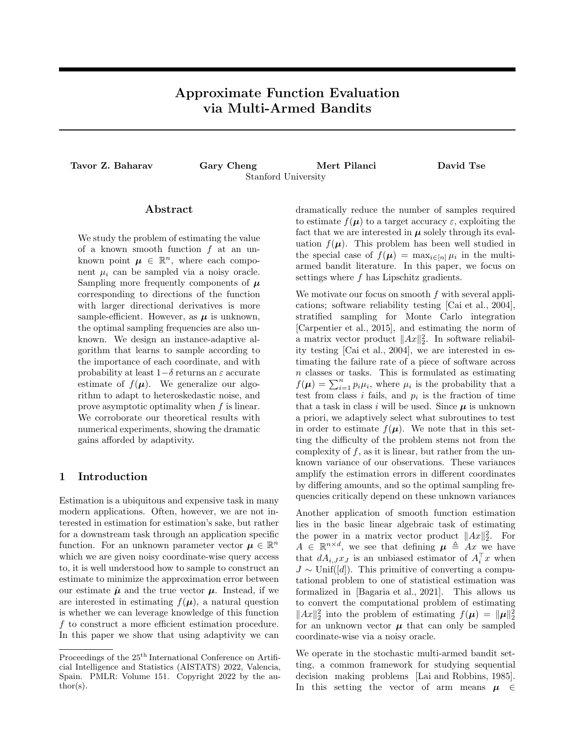# Approximate Function Evaluation via Multi-Armed Bandits

Tavor Z. Baharav Gary Cheng Mert Pilanci David Tse Stanford University

# Abstract

We study the problem of estimating the value of a known smooth function *f* at an unknown point  $\mu \in \mathbb{R}^n$ , where each component  $\mu_i$  can be sampled via a noisy oracle. Sampling more frequently components of  $\mu$ corresponding to directions of the function with larger directional derivatives is more sample-efficient. However, as  $\mu$  is unknown, the optimal sampling frequencies are also unknown. We design an instance-adaptive algorithm that learns to sample according to the importance of each coordinate, and with probability at least  $1-\delta$  returns an  $\varepsilon$  accurate estimate of  $f(\mu)$ . We generalize our algorithm to adapt to heteroskedastic noise, and prove asymptotic optimality when *f* is linear. We corroborate our theoretical results with numerical experiments, showing the dramatic gains afforded by adaptivity.

## 1 Introduction

Estimation is a ubiquitous and expensive task in many modern applications. Often, however, we are not interested in estimation for estimation's sake, but rather for a downstream task through an application specific function. For an unknown parameter vector  $\mu \in \mathbb{R}^n$ which we are given noisy coordinate-wise query access to, it is well understood how to sample to construct an estimate to minimize the approximation error between our estimate  $\hat{\mu}$  and the true vector  $\mu$ . Instead, if we are interested in estimating  $f(\mu)$ , a natural question is whether we can leverage knowledge of this function *f* to construct a more efficient estimation procedure. In this paper we show that using adaptivity we can dramatically reduce the number of samples required to estimate  $f(\mu)$  to a target accuracy  $\varepsilon$ , exploiting the fact that we are interested in  $\mu$  solely through its evaluation  $f(\mu)$ . This problem has been well studied in the special case of  $f(\boldsymbol{\mu}) = \max_{i \in [n]} \mu_i$  in the multiarmed bandit literature. In this paper, we focus on settings where *f* has Lipschitz gradients.

We motivate our focus on smooth *f* with several applications; software reliability testing [Cai et al., 2004], stratified sampling for Monte Carlo integration [Carpentier et al., 2015], and estimating the norm of a matrix vector product  $||Ax||_2^2$ . In software reliability testing [Cai et al., 2004], we are interested in estimating the failure rate of a piece of software across *n* classes or tasks. This is formulated as estimating  $f(\mu) = \sum_{i=1}^{n} p_i \mu_i$ , where  $\mu_i$  is the probability that a test from class  $i$  fails, and  $p_i$  is the fraction of time that a task in class  $i$  will be used. Since  $\mu$  is unknown a priori, we adaptively select what subroutines to test in order to estimate  $f(\mu)$ . We note that in this setting the difficulty of the problem stems not from the complexity of  $f$ , as it is linear, but rather from the unknown variance of our observations. These variances amplify the estimation errors in different coordinates by differing amounts, and so the optimal sampling frequencies critically depend on these unknown variances

Another application of smooth function estimation lies in the basic linear algebraic task of estimating the power in a matrix vector product  $||Ax||_2^2$ . For  $A \in \mathbb{R}^{n \times d}$ , we see that defining  $\mu \triangleq Ax$  we have that  $dA_{i,J}x_{J}$  is an unbiased estimator of  $A_i^{\dagger}x$  when  $J \sim$  Unif([*d*]). This primitive of converting a computational problem to one of statistical estimation was formalized in [Bagaria et al., 2021]. This allows us to convert the computational problem of estimating  $||Ax||_2^2$  into the problem of estimating  $f(\mu) = ||\mu||_2^2$ for an unknown vector  $\mu$  that can only be sampled coordinate-wise via a noisy oracle.

We operate in the stochastic multi-armed bandit setting, a common framework for studying sequential decision making problems [Lai and Robbins, 1985]. In this setting the vector of arm means  $\mu \in$ 

Proceedings of the  $25^{\text{th}}$  International Conference on Artificial Intelligence and Statistics (AISTATS) 2022, Valencia, Spain. PMLR: Volume 151. Copyright 2022 by the au- $\text{thor}(s)$ .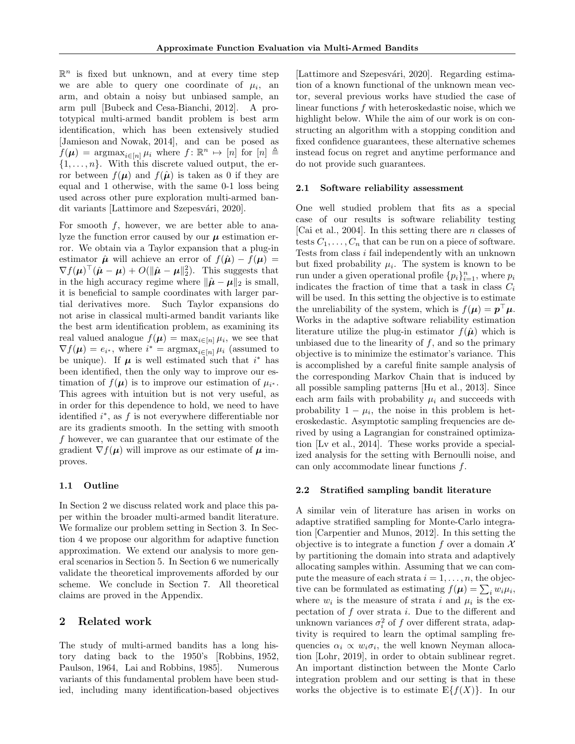$\mathbb{R}^n$  is fixed but unknown, and at every time step we are able to query one coordinate of  $\mu_i$ , an arm, and obtain a noisy but unbiased sample, an arm pull [Bubeck and Cesa-Bianchi, 2012]. A prototypical multi-armed bandit problem is best arm identification, which has been extensively studied [Jamieson and Nowak, 2014], and can be posed as  $f(\boldsymbol{\mu}) = \arg \max_{i \in [n]} \mu_i$  where  $f: \mathbb{R}^n \mapsto [n]$  for  $[n] \triangleq$ *{*1*,...,n}*. With this discrete valued output, the error between  $f(\mu)$  and  $f(\hat{\mu})$  is taken as 0 if they are equal and 1 otherwise, with the same 0-1 loss being used across other pure exploration multi-armed bandit variants [Lattimore and Szepesvári, 2020].

For smooth *f*, however, we are better able to analyze the function error caused by our  $\mu$  estimation error. We obtain via a Taylor expansion that a plug-in estimator  $\hat{\mu}$  will achieve an error of  $f(\hat{\mu}) - f(\mu) =$  $\nabla f(\boldsymbol{\mu})^{\top}(\hat{\boldsymbol{\mu}} - \boldsymbol{\mu}) + O(\|\hat{\boldsymbol{\mu}} - \boldsymbol{\mu}\|_2^2)$ . This suggests that in the high accuracy regime where  $\|\hat{\boldsymbol{\mu}} - \boldsymbol{\mu}\|_2$  is small, it is beneficial to sample coordinates with larger partial derivatives more. Such Taylor expansions do not arise in classical multi-armed bandit variants like the best arm identification problem, as examining its real valued analogue  $f(\boldsymbol{\mu}) = \max_{i \in [n]} \mu_i$ , we see that  $\nabla f(\boldsymbol{\mu}) = e_i$ <sup>\*</sup>, where  $i^* = \operatorname{argmax}_{i \in [n]} \mu_i$  (assumed to be unique). If  $\mu$  is well estimated such that  $i^*$  has been identified, then the only way to improve our estimation of  $f(\mu)$  is to improve our estimation of  $\mu_{i^*}$ . This agrees with intuition but is not very useful, as in order for this dependence to hold, we need to have identified  $i^*$ , as  $f$  is not everywhere differentiable nor are its gradients smooth. In the setting with smooth *f* however, we can guarantee that our estimate of the gradient  $\nabla f(\boldsymbol{\mu})$  will improve as our estimate of  $\boldsymbol{\mu}$  improves.

### 1.1 Outline

In Section 2 we discuss related work and place this paper within the broader multi-armed bandit literature. We formalize our problem setting in Section 3. In Section 4 we propose our algorithm for adaptive function approximation. We extend our analysis to more general scenarios in Section 5. In Section 6 we numerically validate the theoretical improvements afforded by our scheme. We conclude in Section 7. All theoretical claims are proved in the Appendix.

# 2 Related work

The study of multi-armed bandits has a long history dating back to the 1950's [Robbins, 1952, Paulson, 1964, Lai and Robbins, 1985]. Numerous variants of this fundamental problem have been studied, including many identification-based objectives

[Lattimore and Szepesvári, 2020]. Regarding estimation of a known functional of the unknown mean vector, several previous works have studied the case of linear functions *f* with heteroskedastic noise, which we highlight below. While the aim of our work is on constructing an algorithm with a stopping condition and fixed confidence guarantees, these alternative schemes instead focus on regret and anytime performance and do not provide such guarantees.

#### 2.1 Software reliability assessment

One well studied problem that fits as a special case of our results is software reliability testing [Cai et al., 2004]. In this setting there are *n* classes of tests  $C_1, \ldots, C_n$  that can be run on a piece of software. Tests from class *i* fail independently with an unknown but fixed probability  $\mu_i$ . The system is known to be run under a given operational profile  $\{p_i\}_{i=1}^n$ , where  $p_i$ indicates the fraction of time that a task in class  $C_i$ will be used. In this setting the objective is to estimate the unreliability of the system, which is  $f(\mu) = p^{\top} \mu$ . Works in the adaptive software reliability estimation literature utilize the plug-in estimator  $f(\hat{\mu})$  which is unbiased due to the linearity of  $f$ , and so the primary objective is to minimize the estimator's variance. This is accomplished by a careful finite sample analysis of the corresponding Markov Chain that is induced by all possible sampling patterns [Hu et al., 2013]. Since each arm fails with probability  $\mu_i$  and succeeds with probability  $1 - \mu_i$ , the noise in this problem is heteroskedastic. Asymptotic sampling frequencies are derived by using a Lagrangian for constrained optimization [Lv et al., 2014]. These works provide a specialized analysis for the setting with Bernoulli noise, and can only accommodate linear functions *f*.

### 2.2 Stratified sampling bandit literature

A similar vein of literature has arisen in works on adaptive stratified sampling for Monte-Carlo integration [Carpentier and Munos, 2012]. In this setting the objective is to integrate a function *f* over a domain *X* by partitioning the domain into strata and adaptively allocating samples within. Assuming that we can compute the measure of each strata  $i = 1, \ldots, n$ , the objective can be formulated as estimating  $f(\boldsymbol{\mu}) = \sum_i w_i \mu_i$ , where  $w_i$  is the measure of strata *i* and  $\mu_i$  is the expectation of *f* over strata *i*. Due to the different and unknown variances  $\sigma_i^2$  of  $f$  over different strata, adaptivity is required to learn the optimal sampling frequencies  $\alpha_i \propto w_i \sigma_i$ , the well known Neyman allocation [Lohr, 2019], in order to obtain sublinear regret. An important distinction between the Monte Carlo integration problem and our setting is that in these works the objective is to estimate  $\mathbb{E}\{f(X)\}\$ . In our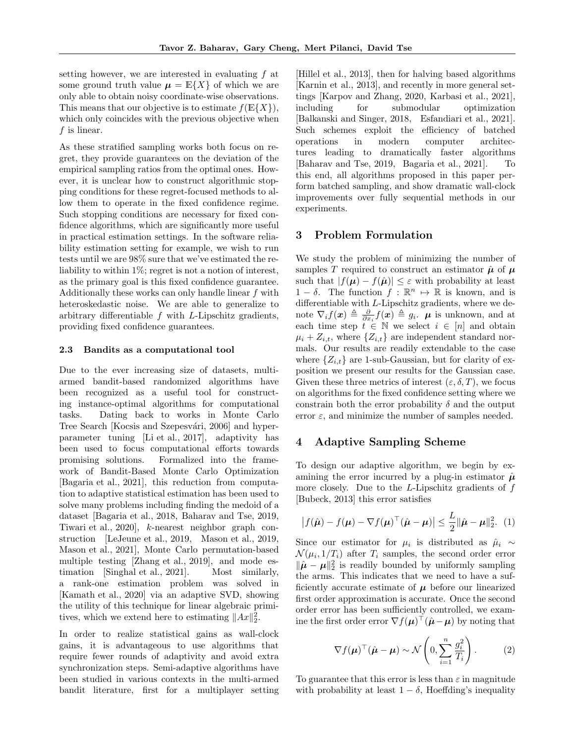setting however, we are interested in evaluating *f* at some ground truth value  $\mu = \mathbb{E}\{X\}$  of which we are only able to obtain noisy coordinate-wise observations. This means that our objective is to estimate  $f(\mathbb{E}\{X\})$ , which only coincides with the previous objective when *f* is linear.

As these stratified sampling works both focus on regret, they provide guarantees on the deviation of the empirical sampling ratios from the optimal ones. However, it is unclear how to construct algorithmic stopping conditions for these regret-focused methods to allow them to operate in the fixed confidence regime. Such stopping conditions are necessary for fixed confidence algorithms, which are significantly more useful in practical estimation settings. In the software reliability estimation setting for example, we wish to run tests until we are 98% sure that we've estimated the reliability to within 1\%; regret is not a notion of interest, as the primary goal is this fixed confidence guarantee. Additionally these works can only handle linear *f* with heteroskedastic noise. We are able to generalize to arbitrary differentiable  $f$  with  $L$ -Lipschitz gradients, providing fixed confidence guarantees.

### 2.3 Bandits as a computational tool

Due to the ever increasing size of datasets, multiarmed bandit-based randomized algorithms have been recognized as a useful tool for constructing instance-optimal algorithms for computational tasks. Dating back to works in Monte Carlo Tree Search [Kocsis and Szepesvári, 2006] and hyperparameter tuning [Li et al., 2017], adaptivity has been used to focus computational efforts towards promising solutions. Formalized into the framework of Bandit-Based Monte Carlo Optimization [Bagaria et al., 2021], this reduction from computation to adaptive statistical estimation has been used to solve many problems including finding the medoid of a dataset [Bagaria et al., 2018, Baharav and Tse, 2019, Tiwari et al., 2020], *k*-nearest neighbor graph construction [LeJeune et al., 2019, Mason et al., 2019, Mason et al., 2021], Monte Carlo permutation-based multiple testing [Zhang et al., 2019], and mode estimation [Singhal et al., 2021]. Most similarly, a rank-one estimation problem was solved in [Kamath et al., 2020] via an adaptive SVD, showing the utility of this technique for linear algebraic primitives, which we extend here to estimating  $||Ax||_2^2$ .

In order to realize statistical gains as wall-clock gains, it is advantageous to use algorithms that require fewer rounds of adaptivity and avoid extra synchronization steps. Semi-adaptive algorithms have been studied in various contexts in the multi-armed bandit literature, first for a multiplayer setting

[Hillel et al., 2013], then for halving based algorithms [Karnin et al., 2013], and recently in more general settings [Karpov and Zhang, 2020, Karbasi et al., 2021], including for submodular optimization [Balkanski and Singer, 2018, Esfandiari et al., 2021]. Such schemes exploit the efficiency of batched operations in modern computer architectures leading to dramatically faster algorithms [Baharav and Tse, 2019, Bagaria et al., 2021]. To this end, all algorithms proposed in this paper perform batched sampling, and show dramatic wall-clock improvements over fully sequential methods in our experiments.

# 3 Problem Formulation

We study the problem of minimizing the number of samples *T* required to construct an estimator  $\hat{\mu}$  of  $\mu$ such that  $|f(\mu) - f(\hat{\mu})| \leq \varepsilon$  with probability at least  $1 - \delta$ . The function  $f : \mathbb{R}^n \to \mathbb{R}$  is known, and is differentiable with *L*-Lipschitz gradients, where we denote  $\nabla_i f(\boldsymbol{x}) \triangleq \frac{\partial}{\partial x_i} f(\boldsymbol{x}) \triangleq g_i$ .  $\boldsymbol{\mu}$  is unknown, and at each time step  $t \in \mathbb{N}$  we select  $i \in [n]$  and obtain  $\mu_i + Z_{i,t}$ , where  $\{Z_{i,t}\}$  are independent standard normals. Our results are readily extendable to the case where  $\{Z_{i,t}\}\$ are 1-sub-Gaussian, but for clarity of exposition we present our results for the Gaussian case. Given these three metrics of interest  $(\varepsilon, \delta, T)$ , we focus on algorithms for the fixed confidence setting where we constrain both the error probability  $\delta$  and the output error  $\varepsilon$ , and minimize the number of samples needed.

# 4 Adaptive Sampling Scheme

To design our adaptive algorithm, we begin by examining the error incurred by a plug-in estimator  $\hat{\mu}$ more closely. Due to the *L*-Lipschitz gradients of *f* [Bubeck, 2013] this error satisfies

$$
\left|f(\hat{\boldsymbol{\mu}}) - f(\boldsymbol{\mu}) - \nabla f(\boldsymbol{\mu})^{\top} (\hat{\boldsymbol{\mu}} - \boldsymbol{\mu})\right| \leq \frac{L}{2} \|\hat{\boldsymbol{\mu}} - \boldsymbol{\mu}\|_2^2. (1)
$$

Since our estimator for  $\mu_i$  is distributed as  $\hat{\mu}_i \sim$  $\mathcal{N}(\mu_i, 1/T_i)$  after  $T_i$  samples, the second order error  $\|\hat{\boldsymbol{\mu}} - \boldsymbol{\mu}\|_2^2$  is readily bounded by uniformly sampling the arms. This indicates that we need to have a sufficiently accurate estimate of  $\mu$  before our linearized first order approximation is accurate. Once the second order error has been sufficiently controlled, we examine the first order error  $\nabla f(\boldsymbol{\mu})^{\top}(\hat{\boldsymbol{\mu}} - \boldsymbol{\mu})$  by noting that

$$
\nabla f(\boldsymbol{\mu})^{\top} (\hat{\boldsymbol{\mu}} - \boldsymbol{\mu}) \sim \mathcal{N} \left( 0, \sum_{i=1}^{n} \frac{g_i^2}{T_i} \right). \tag{2}
$$

To guarantee that this error is less than  $\varepsilon$  in magnitude with probability at least  $1 - \delta$ , Hoeffding's inequality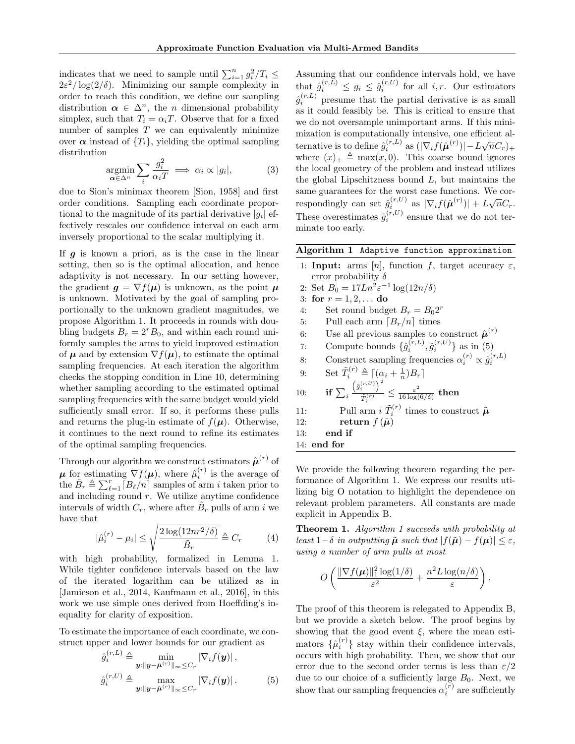indicates that we need to sample until  $\sum_{i=1}^{n} g_i^2 / T_i \leq$  $2\varepsilon^2/\log(2/\delta)$ . Minimizing our sample complexity in order to reach this condition, we define our sampling distribution  $\alpha \in \Delta^n$ , the *n* dimensional probability simplex, such that  $T_i = \alpha_i T$ . Observe that for a fixed number of samples *T* we can equivalently minimize over  $\alpha$  instead of  ${T_i}$ , yielding the optimal sampling distribution

$$
\underset{\alpha \in \Delta^n}{\operatorname{argmin}} \sum_i \frac{g_i^2}{\alpha_i T} \implies \alpha_i \propto |g_i|,\tag{3}
$$

due to Sion's minimax theorem [Sion, 1958] and first order conditions. Sampling each coordinate proportional to the magnitude of its partial derivative  $|g_i|$  effectively rescales our confidence interval on each arm inversely proportional to the scalar multiplying it.

If *g* is known a priori, as is the case in the linear setting, then so is the optimal allocation, and hence adaptivity is not necessary. In our setting however, the gradient  $g = \nabla f(\mu)$  is unknown, as the point  $\mu$ is unknown. Motivated by the goal of sampling proportionally to the unknown gradient magnitudes, we propose Algorithm 1. It proceeds in rounds with doubling budgets  $B_r = 2^r B_0$ , and within each round uniformly samples the arms to yield improved estimation of  $\mu$  and by extension  $\nabla f(\mu)$ , to estimate the optimal sampling frequencies. At each iteration the algorithm checks the stopping condition in Line 10, determining whether sampling according to the estimated optimal sampling frequencies with the same budget would yield sufficiently small error. If so, it performs these pulls and returns the plug-in estimate of  $f(\mu)$ . Otherwise, it continues to the next round to refine its estimates of the optimal sampling frequencies.

Through our algorithm we construct estimators  $\hat{\boldsymbol{\mu}}^{(r)}$  of  $\mu$  for estimating  $\nabla f(\mu)$ , where  $\hat{\mu}_i^{(r)}$  is the average of the  $\tilde{B}_r \triangleq \sum_{\ell=1}^r [B_\ell/n]$  samples of arm *i* taken prior to and including round *r*. We utilize anytime confidence intervals of width  $C_r$ , where after  $B_r$  pulls of arm *i* we have that

$$
|\hat{\mu}_i^{(r)} - \mu_i| \le \sqrt{\frac{2\log(12nr^2/\delta)}{\tilde{B}_r}} \triangleq C_r \tag{4}
$$

with high probability, formalized in Lemma 1. While tighter confidence intervals based on the law of the iterated logarithm can be utilized as in [Jamieson et al., 2014, Kaufmann et al., 2016], in this work we use simple ones derived from Hoeffding's inequality for clarity of exposition.

To estimate the importance of each coordinate, we construct upper and lower bounds for our gradient as

$$
\hat{g}_i^{(r,L)} \triangleq \min_{\mathbf{y}: \|\mathbf{y} - \hat{\boldsymbol{\mu}}^{(r)}\|_{\infty} \leq C_r} |\nabla_i f(\mathbf{y})|,
$$
  

$$
\hat{g}_i^{(r,U)} \triangleq \max_{\mathbf{y}: \|\mathbf{y} - \hat{\boldsymbol{\mu}}^{(r)}\|_{\infty} \leq C_r} |\nabla_i f(\mathbf{y})|.
$$
 (5)

Assuming that our confidence intervals hold, we have that  $\hat{g}_i^{(r,L)} \leq g_i \leq \hat{g}_i^{(r,U)}$  for all *i,r.* Our estimators  $\hat{g}^{(r,L)}_i$  presume that the partial derivative is as small as it could feasibly be. This is critical to ensure that we do not oversample unimportant arms. If this minimization is computationally intensive, one efficient alternative is to define  $\hat{g}_i^{(r,L)}$  as  $(|\nabla_i f(\hat{\boldsymbol{\mu}}^{(r)})| - L\sqrt{n}C_r)_{+}$ where  $(x)_{+} \triangleq \max(x, 0)$ . This coarse bound ignores the local geometry of the problem and instead utilizes the global Lipschitzness bound *L*, but maintains the same guarantees for the worst case functions. We correspondingly can set  $\hat{g}^{(r,U)}_{i,m}$  as  $|\nabla_i f(\hat{\boldsymbol{\mu}}^{(r)})| + L\sqrt{n}C_r$ . These overestimates  $\hat{g}_i^{(r,U)}$  ensure that we do not terminate too early.

Algorithm 1 Adaptive function approximation

1: **Input:** arms [n], function f, target accuracy  $\varepsilon$ , error probability  $\delta$ 2: Set  $B_0 = 17Ln^2\varepsilon^{-1} \log(12n/\delta)$ 3: for  $r = 1, 2, \ldots$  do 4: Set round budget  $B_r = B_0 2^r$ 5: Pull each arm  $\lceil B_r/n \rceil$  times<br>6: Use all previous samples to 6: Use all previous samples to construct  $\hat{\boldsymbol{\mu}}^{(r)}$ 7: Compute bounds  $\{\hat{g}_i^{(r,L)}, \hat{g}_i^{(r,U)}\}$  as in (5) 8: Construct sampling frequencies  $\alpha_i^{(r)} \propto \hat{g}_i^{(r,L)}$ 9: Set  $\tilde{T}_i^{(r)} \triangleq \left[ (\alpha_i + \frac{1}{n})B_r \right]$ 10: if  $\sum_i$  $\left(\hat{g}_i^{(r,U)}\right)^2$  $\frac{\varepsilon^2}{\tilde{T}^{(r)}_i} \leq \frac{\varepsilon^2}{16\log(6/\delta)}$  then 11: Pull arm  $i \tilde{T}_i^{(r)}$  times to construct  $\tilde{\boldsymbol{\mu}}$ 12: **return**  $f(\tilde{\boldsymbol{\mu}})$ 13: end if 14: end for

We provide the following theorem regarding the performance of Algorithm 1. We express our results utilizing big O notation to highlight the dependence on relevant problem parameters. All constants are made explicit in Appendix B.

Theorem 1. *Algorithm 1 succeeds with probability at least*  $1 - \delta$  *in outputting*  $\tilde{\mu}$  *such that*  $|f(\tilde{\mu}) - f(\mu)| \leq \varepsilon$ , *using a number of arm pulls at most*

$$
O\left(\frac{\|\nabla f(\boldsymbol{\mu})\|_1^2\log(1/\delta)}{\varepsilon^2} + \frac{n^2L\log(n/\delta)}{\varepsilon}\right)
$$

*.*

The proof of this theorem is relegated to Appendix B, but we provide a sketch below. The proof begins by showing that the good event  $\xi$ , where the mean estimators  $\{\hat{\mu}_i^{(r)}\}$  stay within their confidence intervals, occurs with high probability. Then, we show that our error due to the second order terms is less than  $\varepsilon/2$ due to our choice of a sufficiently large  $B_0$ . Next, we show that our sampling frequencies  $\alpha_i^{(r)}$  are sufficiently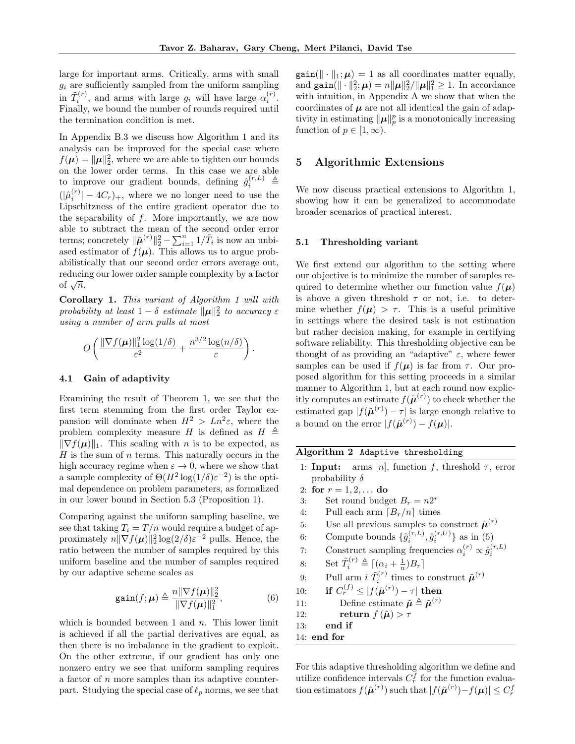large for important arms. Critically, arms with small  $g_i$  are sufficiently sampled from the uniform sampling in  $\tilde{T}_i^{(r)}$ , and arms with large  $g_i$  will have large  $\alpha_i^{(r)}$ . Finally, we bound the number of rounds required until the termination condition is met.

In Appendix B.3 we discuss how Algorithm 1 and its analysis can be improved for the special case where  $f(\mu) = ||\mu||_2^2$ , where we are able to tighten our bounds on the lower order terms. In this case we are able to improve our gradient bounds, defining  $\hat{g}_i^{(r,L)} \triangleq$  $(|\hat{\mu}_i^{(r)}| - 4C_r)_+$ , where we no longer need to use the Lipschitzness of the entire gradient operator due to the separability of *f*. More importantly, we are now able to subtract the mean of the second order error terms; concretely  $\|\tilde{\boldsymbol{\mu}}^{(r)}\|_2^2 - \sum_{i=1}^n 1/\tilde{T}_i$  is now an unbiased estimator of  $f(\mu)$ . This allows us to argue probabilistically that our second order errors average out, reducing our lower order sample complexity by a factor of  $\sqrt{n}$ .

Corollary 1. *This variant of Algorithm 1 will with probability at least*  $1 - \delta$  *estimate*  $\|\boldsymbol{\mu}\|_2^2$  *to accuracy*  $\varepsilon$ *using a number of arm pulls at most*

$$
O\left(\frac{\|\nabla f(\boldsymbol{\mu})\|_1^2 \log(1/\delta)}{\varepsilon^2} + \frac{n^{3/2} \log(n/\delta)}{\varepsilon}\right).
$$

#### 4.1 Gain of adaptivity

Examining the result of Theorem 1, we see that the first term stemming from the first order Taylor expansion will dominate when  $H^2 > Ln^2\varepsilon$ , where the problem complexity measure *H* is defined as  $H \triangleq$  $\|\nabla f(\boldsymbol{\mu})\|_1$ . This scaling with *n* is to be expected, as *H* is the sum of *n* terms. This naturally occurs in the high accuracy regime when  $\varepsilon \to 0$ , where we show that a sample complexity of  $\Theta(H^2 \log(1/\delta) \varepsilon^{-2})$  is the optimal dependence on problem parameters, as formalized in our lower bound in Section 5.3 (Proposition 1).

Comparing against the uniform sampling baseline, we see that taking  $T_i = T/n$  would require a budget of approximately  $n\|\nabla f(\boldsymbol{\mu})\|_2^2 \log(2/\delta) \varepsilon^{-2}$  pulls. Hence, the ratio between the number of samples required by this uniform baseline and the number of samples required by our adaptive scheme scales as

$$
\text{gain}(f; \boldsymbol{\mu}) \triangleq \frac{n\|\nabla f(\boldsymbol{\mu})\|_2^2}{\|\nabla f(\boldsymbol{\mu})\|_1^2},\tag{6}
$$

which is bounded between 1 and *n*. This lower limit is achieved if all the partial derivatives are equal, as then there is no imbalance in the gradient to exploit. On the other extreme, if our gradient has only one nonzero entry we see that uniform sampling requires a factor of *n* more samples than its adaptive counterpart. Studying the special case of  $\ell_p$  norms, we see that

 $\text{gain}(\|\cdot\|_1; \mu) = 1$  as all coordinates matter equally, and  $\text{gain}(\|\cdot\|_2^2;\mu) = n\|\mu\|_2^2/\|\mu\|_1^2 \ge 1$ . In accordance with intuition, in Appendix A we show that when the coordinates of  $\mu$  are not all identical the gain of adaptivity in estimating  $||\mu||_p^p$  is a monotonically increasing function of  $p \in [1, \infty)$ .

## 5 Algorithmic Extensions

We now discuss practical extensions to Algorithm 1, showing how it can be generalized to accommodate broader scenarios of practical interest.

### 5.1 Thresholding variant

We first extend our algorithm to the setting where our objective is to minimize the number of samples required to determine whether our function value  $f(\mu)$ is above a given threshold  $\tau$  or not, i.e. to determine whether  $f(\mu) > \tau$ . This is a useful primitive in settings where the desired task is not estimation but rather decision making, for example in certifying software reliability. This thresholding objective can be thought of as providing an "adaptive"  $\varepsilon$ , where fewer samples can be used if  $f(\mu)$  is far from  $\tau$ . Our proposed algorithm for this setting proceeds in a similar manner to Algorithm 1, but at each round now explicitly computes an estimate  $f(\tilde{\boldsymbol{\mu}}^{(r)})$  to check whether the estimated gap  $|f(\tilde{\boldsymbol{\mu}}^{(r)}) - \tau|$  is large enough relative to a bound on the error  $|f(\tilde{\boldsymbol{\mu}}^{(r)}) - f(\boldsymbol{\mu})|$ .

|  |  | Algorithm 2 Adaptive thresholding |
|--|--|-----------------------------------|
|--|--|-----------------------------------|

- 1: **Input:** arms  $[n]$ , function  $f$ , threshold  $\tau$ , error probability  $\delta$
- 2: for  $r = 1, 2, ...$  do
- 3: Set round budget  $B_r = n2^r$
- 4: Pull each arm  $\left[B_r/n\right]$  times
- 5: Use all previous samples to construct  $\hat{\mu}^{(r)}$
- 6: Compute bounds  $\{\hat{g}_i^{(r,L)}, \hat{g}_i^{(r,U)}\}$  as in (5)
- 7: Construct sampling frequencies  $\alpha_i^{(r)} \propto \hat{g}_i^{(r,L)}$
- 8: Set  $\tilde{T}_i^{(r)} \triangleq \left[ (\alpha_i + \frac{1}{n})B_r \right]$
- 9: Pull arm *i*  $\tilde{T}_i^{(r)}$  times to construct  $\tilde{\boldsymbol{\mu}}^{(r)}$
- 10: **if**  $C_r^{(f)} \le |f(\tilde{\boldsymbol{\mu}}^{(r)}) \tau|$  then

11: Define estimate 
$$
\tilde{\boldsymbol{\mu}} \triangleq \tilde{\boldsymbol{\mu}}^{(r)}
$$

- 12: return  $f(\tilde{\boldsymbol{\mu}}) > \tau$
- 13: end if
- 14: end for

For this adaptive thresholding algorithm we define and utilize confidence intervals  $C_r^f$  for the function evaluation estimators  $f(\tilde{\boldsymbol{\mu}}^{(r)})$  such that  $|f(\tilde{\boldsymbol{\mu}}^{(r)})-f(\boldsymbol{\mu})| \leq C_r^f$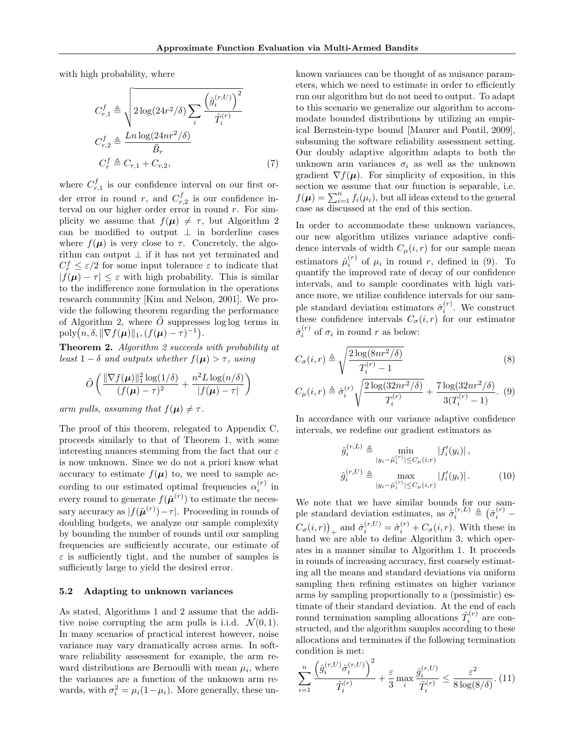with high probability, where

$$
C_{r,1}^{f} \triangleq \sqrt{2 \log(24r^2/\delta) \sum_{i} \frac{\left(\hat{g}_{i}^{(r,U)}\right)^2}{\tilde{T}_i^{(r)}}}
$$

$$
C_{r,2}^{f} \triangleq \frac{Ln \log(24nr^2/\delta)}{\tilde{B}_r}
$$

$$
C_r^{f} \triangleq C_{r,1} + C_{r,2}, \tag{7}
$$

where  $C_{r,1}^f$  is our confidence interval on our first order error in round  $r$ , and  $C_{r,2}^f$  is our confidence interval on our higher order error in round *r*. For simplicity we assume that  $f(\mu) \neq \tau$ , but Algorithm 2 can be modified to output  $\perp$  in borderline cases where  $f(\mu)$  is very close to  $\tau$ . Concretely, the algorithm can output  $\perp$  if it has not yet terminated and  $C_r^f \leq \varepsilon/2$  for some input tolerance  $\varepsilon$  to indicate that  $|f(\mu) - \tau| \leq \varepsilon$  with high probability. This is similar to the indifference zone formulation in the operations research community [Kim and Nelson, 2001]. We provide the following theorem regarding the performance of Algorithm 2, where  $\tilde{O}$  suppresses log log terms in  $poly(n, \delta, \|\nabla f(\boldsymbol{\mu})\|_1, (f(\boldsymbol{\mu}) - \tau)^{-1}).$ 

Theorem 2. *Algorithm 2 succeeds with probability at least*  $1 - \delta$  *and outputs whether*  $f(\mu) > \tau$ , *using* 

$$
\tilde{O}\left(\frac{\|\nabla f(\boldsymbol{\mu})\|_1^2\log(1/\delta)}{(f(\boldsymbol{\mu})-\tau)^2} + \frac{n^2L\log(n/\delta)}{|f(\boldsymbol{\mu})-\tau|}\right)
$$

*arm pulls, assuming that*  $f(\mu) \neq \tau$ .

The proof of this theorem, relegated to Appendix C, proceeds similarly to that of Theorem 1, with some interesting nuances stemming from the fact that our  $\varepsilon$ is now unknown. Since we do not a priori know what accuracy to estimate  $f(\mu)$  to, we need to sample according to our estimated optimal frequencies  $\alpha_i^{(r)}$  in every round to generate  $f(\tilde{\boldsymbol{\mu}}^{(r)})$  to estimate the necessary accuracy as  $|f(\tilde{\boldsymbol{\mu}}^{(r)}) - \tau|$ . Proceeding in rounds of doubling budgets, we analyze our sample complexity by bounding the number of rounds until our sampling frequencies are sufficiently accurate, our estimate of  $\varepsilon$  is sufficiently tight, and the number of samples is sufficiently large to yield the desired error.

#### 5.2 Adapting to unknown variances

As stated, Algorithms 1 and 2 assume that the additive noise corrupting the arm pulls is i.i.d.  $\mathcal{N}(0, 1)$ . In many scenarios of practical interest however, noise variance may vary dramatically across arms. In software reliability assessment for example, the arm reward distributions are Bernoulli with mean  $\mu_i$ , where the variances are a function of the unknown arm rewards, with  $\sigma_i^2 = \mu_i (1 - \mu_i)$ . More generally, these unknown variances can be thought of as nuisance parameters, which we need to estimate in order to efficiently run our algorithm but do not need to output. To adapt to this scenario we generalize our algorithm to accommodate bounded distributions by utilizing an empirical Bernstein-type bound [Maurer and Pontil, 2009], subsuming the software reliability assessment setting. Our doubly adaptive algorithm adapts to both the unknown arm variances  $\sigma_i$  as well as the unknown gradient  $\nabla f(\boldsymbol{\mu})$ . For simplicity of exposition, in this section we assume that our function is separable, i.e.  $f(\boldsymbol{\mu}) = \sum_{i=1}^{n} f_i(\mu_i)$ , but all ideas extend to the general case as discussed at the end of this section.

In order to accommodate these unknown variances, our new algorithm utilizes variance adaptive confidence intervals of width  $C_{\mu}(i, r)$  for our sample mean estimators  $\hat{\mu}_i^{(r)}$  of  $\mu_i$  in round *r*, defined in (9). To quantify the improved rate of decay of our confidence intervals, and to sample coordinates with high variance more, we utilize confidence intervals for our sample standard deviation estimators  $\hat{\sigma}_i^{(r)}$ . We construct these confidence intervals  $C_{\sigma}(i, r)$  for our estimator  $\hat{\sigma}_i^{(r)}$  of  $\sigma_i$  in round *r* as below:

$$
C_{\sigma}(i,r) \triangleq \sqrt{\frac{2\log(8nr^2/\delta)}{T_i^{(r)} - 1}}
$$
\n(8)

$$
C_{\mu}(i,r) \triangleq \hat{\sigma}_i^{(r)} \sqrt{\frac{2\log(32nr^2/\delta)}{T_i^{(r)}}} + \frac{7\log(32nr^2/\delta)}{3(T_i^{(r)} - 1)}.
$$
 (9)

In accordance with our variance adaptive confidence intervals, we redefine our gradient estimators as

$$
\hat{g}_i^{(r,L)} \triangleq \min_{|y_i - \hat{\mu}_i^{(r)}| \le C_\mu(i,r)} |f'_i(y_i)| ,
$$
  

$$
\hat{g}_i^{(r,U)} \triangleq \max_{|y_i - \hat{\mu}_i^{(r)}| \le C_\mu(i,r)} |f'_i(y_i)| .
$$
 (10)

We note that we have similar bounds for our sample standard deviation estimates, as  $\hat{\sigma}_i^{(r,L)} \triangleq (\hat{\sigma}_i^{(r)} (C_{\sigma}(i, r))_{+}$  and  $\hat{\sigma}_{i}^{(r,U)} = \hat{\sigma}_{i}^{(r)} + C_{\sigma}(i, r)$ . With these in hand we are able to define Algorithm 3, which operates in a manner similar to Algorithm 1. It proceeds in rounds of increasing accuracy, first coarsely estimating all the means and standard deviations via uniform sampling then refining estimates on higher variance arms by sampling proportionally to a (pessimistic) estimate of their standard deviation. At the end of each round termination sampling allocations  $\tilde{T}_i^{(r)}$  are constructed, and the algorithm samples according to these allocations and terminates if the following termination condition is met:

$$
\sum_{i=1}^{n} \frac{\left(\hat{g}_i^{(r,U)}\hat{\sigma}_i^{(r,U)}\right)^2}{\tilde{T}_i^{(r)}} + \frac{\varepsilon}{3} \max_i \frac{\hat{g}_i^{(r,U)}}{\tilde{T}_i^{(r)}} \le \frac{\varepsilon^2}{8 \log(8/\delta)}.\tag{11}
$$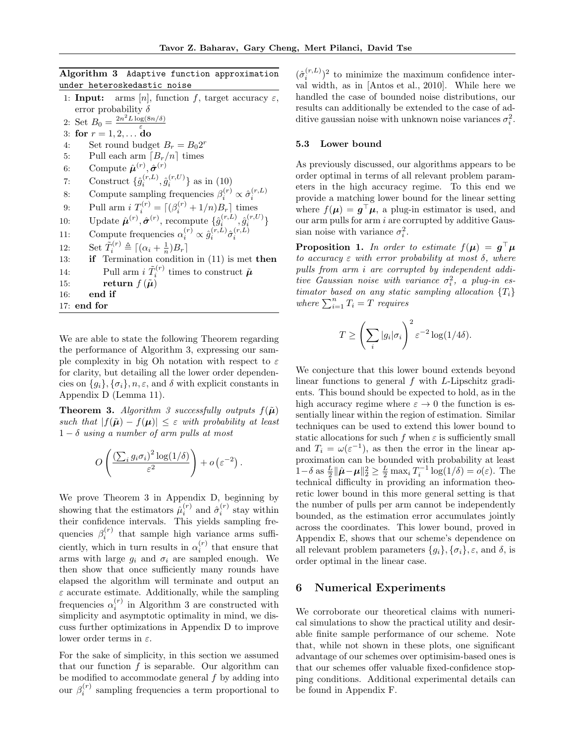# Algorithm 3 Adaptive function approximation under heteroskedastic noise

|     | 1: <b>Input:</b> arms [n], function f, target accuracy $\varepsilon$ ,                                                        |
|-----|-------------------------------------------------------------------------------------------------------------------------------|
|     | error probability $\delta$                                                                                                    |
|     | 2: Set $B_0 = \frac{2n^2 L \log(8n/\delta)}{2}$                                                                               |
| 3:  | for $r = 1, 2, $ do                                                                                                           |
| 4:  | Set round budget $B_r = B_0 2^r$                                                                                              |
| 5:  | Pull each arm $[B_r/n]$ times                                                                                                 |
| 6:  | Compute $\hat{\boldsymbol{\mu}}^{(r)}$ , $\hat{\boldsymbol{\sigma}}^{(r)}$                                                    |
| 7:  | Construct $\{\hat{g}_i^{(r,L)}, \hat{g}_i^{(r,U)}\}$ as in (10)                                                               |
| 8:  | Compute sampling frequencies $\beta_i^{(r)} \propto \hat{\sigma}_i^{(r,L)}$                                                   |
| 9:  | Pull arm $i T_i^{(r)} = [(\beta_i^{(r)} + 1/n)B_r]$ times                                                                     |
| 10: | Update $\hat{\boldsymbol{\mu}}^{(r)}, \hat{\boldsymbol{\sigma}}^{(r)}$ , recompute $\{\hat{g}_i^{(r,L)}, \hat{g}_i^{(r,U)}\}$ |
| 11: | Compute frequencies $\alpha_i^{(r)} \propto \hat{g}_i^{(r,L)} \hat{\sigma}_i^{(r,L)}$                                         |
| 12: | Set $\tilde{T}_i^{(r)} \triangleq [(\alpha_i + \frac{1}{r})B_r]$                                                              |
| 13: | <b>if</b> Termination condition in $(11)$ is met <b>then</b>                                                                  |
| 14: | Pull arm $i \tilde{T}_i^{(r)}$ times to construct $\tilde{\boldsymbol{\mu}}$                                                  |
| 15: | return $f(\tilde{\boldsymbol{\mu}})$                                                                                          |
| 16: | end if                                                                                                                        |
|     | $17:$ end for                                                                                                                 |

We are able to state the following Theorem regarding the performance of Algorithm 3, expressing our sample complexity in big Oh notation with respect to  $\varepsilon$ for clarity, but detailing all the lower order dependencies on  $\{g_i\}$ ,  $\{\sigma_i\}$ ,  $n, \varepsilon$ , and  $\delta$  with explicit constants in Appendix D (Lemma 11).

**Theorem 3.** Algorithm 3 successfully outputs  $f(\tilde{\mu})$ *such that*  $|f(\tilde{\boldsymbol{\mu}}) - f(\boldsymbol{\mu})| \leq \varepsilon$  with probability at least  $1 - \delta$  *using a number of arm pulls at most* 

$$
O\left(\frac{\left(\sum_i g_i \sigma_i\right)^2 \log(1/\delta)}{\varepsilon^2}\right) + o\left(\varepsilon^{-2}\right).
$$

We prove Theorem 3 in Appendix D, beginning by showing that the estimators  $\hat{\mu}_i^{(r)}$  and  $\hat{\sigma}_i^{(r)}$  stay within their confidence intervals. This yields sampling frequencies  $\beta_i^{(r)}$  that sample high variance arms sufficiently, which in turn results in  $\alpha_i^{(r)}$  that ensure that arms with large  $g_i$  and  $\sigma_i$  are sampled enough. We then show that once sufficiently many rounds have elapsed the algorithm will terminate and output an  $\varepsilon$  accurate estimate. Additionally, while the sampling frequencies  $\alpha_i^{(r)}$  in Algorithm 3 are constructed with simplicity and asymptotic optimality in mind, we discuss further optimizations in Appendix D to improve lower order terms in  $\varepsilon$ .

For the sake of simplicity, in this section we assumed that our function  $f$  is separable. Our algorithm can be modified to accommodate general *f* by adding into our  $\beta_i^{(r)}$  sampling frequencies a term proportional to

 $(\hat{\sigma}_i^{(r,L)})^2$  to minimize the maximum confidence interval width, as in [Antos et al., 2010]. While here we handled the case of bounded noise distributions, our results can additionally be extended to the case of additive gaussian noise with unknown noise variances  $\sigma_i^2$ .

#### 5.3 Lower bound

As previously discussed, our algorithms appears to be order optimal in terms of all relevant problem parameters in the high accuracy regime. To this end we provide a matching lower bound for the linear setting where  $f(\mu) = g^{\top} \mu$ , a plug-in estimator is used, and our arm pulls for arm *i* are corrupted by additive Gaussian noise with variance  $\sigma_i^2$ .

**Proposition 1.** In order to estimate  $f(\mu) = g^{\top} \mu$ *to accuracy*  $\varepsilon$  *with error probability at most*  $\delta$ *, where pulls from arm i are corrupted by independent addi* $tive$  *Gaussian noise with variance*  $\sigma_i^2$ , *a plug-in estimator based on any static sampling allocation {Ti} where*  $\sum_{i=1}^{n} T_i = T$  *requires* 

$$
T \ge \left(\sum_i |g_i|\sigma_i\right)^2 \varepsilon^{-2} \log(1/4\delta).
$$

We conjecture that this lower bound extends beyond linear functions to general *f* with *L*-Lipschitz gradients. This bound should be expected to hold, as in the high accuracy regime where  $\varepsilon \to 0$  the function is essentially linear within the region of estimation. Similar techniques can be used to extend this lower bound to static allocations for such  $f$  when  $\varepsilon$  is sufficiently small and  $T_i = \omega(\varepsilon^{-1})$ , as then the error in the linear approximation can be bounded with probability at least  $1-\delta$  as  $\frac{L}{2} \|\hat{\boldsymbol{\mu}} - \boldsymbol{\mu}\|_2^2 \ge \frac{L}{2} \max_i T_i^{-1} \log(1/\delta) = o(\varepsilon)$ . The technical difficulty in providing an information theoretic lower bound in this more general setting is that the number of pulls per arm cannot be independently bounded, as the estimation error accumulates jointly across the coordinates. This lower bound, proved in Appendix E, shows that our scheme's dependence on all relevant problem parameters  ${g_i}$ ,  ${\sigma_i}$ ,  ${\varepsilon}$ , and  ${\delta}$ , is order optimal in the linear case.

# 6 Numerical Experiments

We corroborate our theoretical claims with numerical simulations to show the practical utility and desirable finite sample performance of our scheme. Note that, while not shown in these plots, one significant advantage of our schemes over optimisim-based ones is that our schemes offer valuable fixed-confidence stopping conditions. Additional experimental details can be found in Appendix F.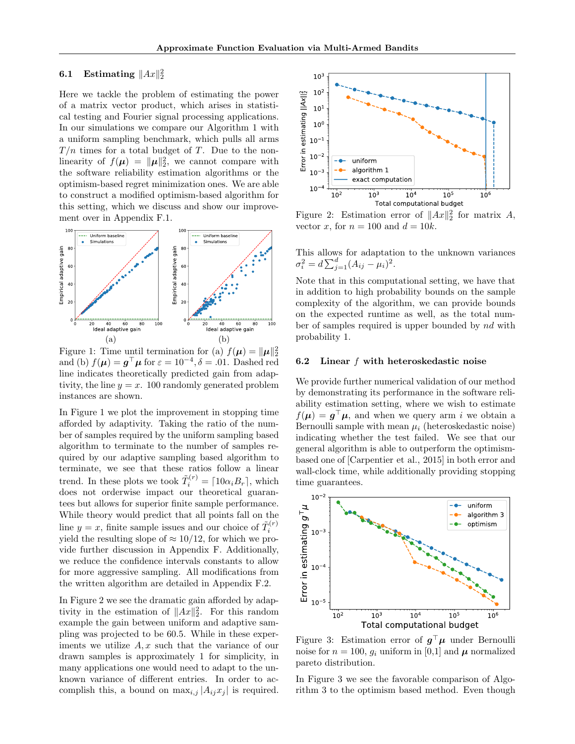# **6.1** Estimating  $||Ax||_2^2$

Here we tackle the problem of estimating the power of a matrix vector product, which arises in statistical testing and Fourier signal processing applications. In our simulations we compare our Algorithm 1 with a uniform sampling benchmark, which pulls all arms *T /n* times for a total budget of *T*. Due to the nonlinearity of  $f(\mu) = ||\mu||_2^2$ , we cannot compare with the software reliability estimation algorithms or the optimism-based regret minimization ones. We are able to construct a modified optimism-based algorithm for this setting, which we discuss and show our improvement over in Appendix F.1.



Figure 1: Time until termination for (a)  $f(\mu) = ||\mu||_2^2$ and (b)  $f(\mu) = g^{\top} \mu$  for  $\varepsilon = 10^{-4}, \delta = .01$ . Dashed red line indicates theoretically predicted gain from adaptivity, the line  $y = x$ . 100 randomly generated problem instances are shown.

In Figure 1 we plot the improvement in stopping time afforded by adaptivity. Taking the ratio of the number of samples required by the uniform sampling based algorithm to terminate to the number of samples required by our adaptive sampling based algorithm to terminate, we see that these ratios follow a linear trend. In these plots we took  $\tilde{T}_i^{(r)} = \lceil 10\alpha_i B_r \rceil$ , which does not orderwise impact our theoretical guarantees but allows for superior finite sample performance. While theory would predict that all points fall on the line  $y = x$ , finite sample issues and our choice of  $\tilde{T}_i^{(r)}$ yield the resulting slope of  $\approx 10/12$ , for which we provide further discussion in Appendix F. Additionally, we reduce the confidence intervals constants to allow for more aggressive sampling. All modifications from the written algorithm are detailed in Appendix F.2.

In Figure 2 we see the dramatic gain afforded by adaptivity in the estimation of  $||Ax||_2^2$ . For this random example the gain between uniform and adaptive sampling was projected to be 60*.*5. While in these experiments we utilize *A, x* such that the variance of our drawn samples is approximately 1 for simplicity, in many applications one would need to adapt to the unknown variance of different entries. In order to accomplish this, a bound on  $\max_{i,j} |A_{ij}x_j|$  is required.



Figure 2: Estimation error of  $||Ax||_2^2$  for matrix *A*, vector *x*, for  $n = 100$  and  $d = 10k$ .

This allows for adaptation to the unknown variances  $\sigma_i^2 = d \sum_{j=1}^d (A_{ij} - \mu_i)^2.$ 

Note that in this computational setting, we have that in addition to high probability bounds on the sample complexity of the algorithm, we can provide bounds on the expected runtime as well, as the total number of samples required is upper bounded by *nd* with probability 1.

#### 6.2 Linear *f* with heteroskedastic noise

We provide further numerical validation of our method by demonstrating its performance in the software reliability estimation setting, where we wish to estimate  $f(\mu) = g^{\top} \mu$ , and when we query arm *i* we obtain a Bernoulli sample with mean  $\mu_i$  (heteroskedastic noise) indicating whether the test failed. We see that our general algorithm is able to outperform the optimismbased one of [Carpentier et al., 2015] in both error and wall-clock time, while additionally providing stopping time guarantees.



Figure 3: Estimation error of  $g^{\top} \mu$  under Bernoulli noise for  $n = 100$ ,  $g_i$  uniform in [0,1] and  $\mu$  normalized pareto distribution.

In Figure 3 we see the favorable comparison of Algorithm 3 to the optimism based method. Even though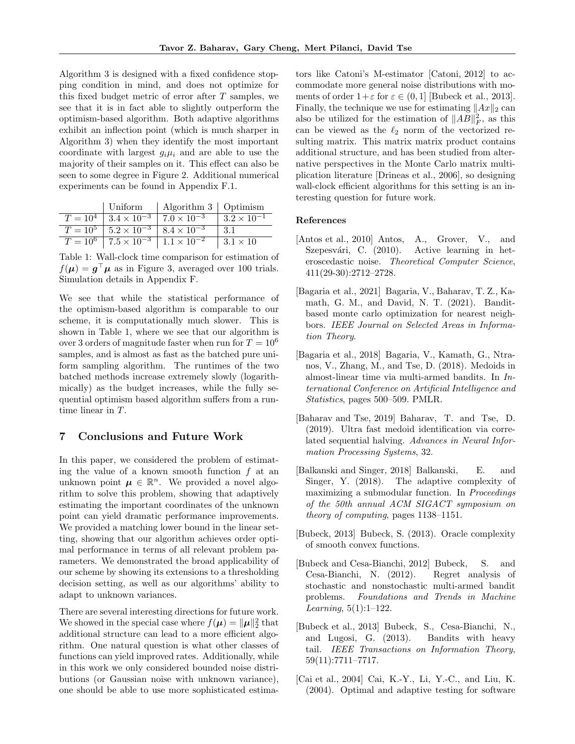Algorithm 3 is designed with a fixed confidence stopping condition in mind, and does not optimize for this fixed budget metric of error after *T* samples, we see that it is in fact able to slightly outperform the optimism-based algorithm. Both adaptive algorithms exhibit an inflection point (which is much sharper in Algorithm 3) when they identify the most important coordinate with largest  $g_i\mu_i$  and are able to use the majority of their samples on it. This effect can also be seen to some degree in Figure 2. Additional numerical experiments can be found in Appendix F.1.

|                                                                 | Uniform   Algorithm $3$   Optimism |                      |
|-----------------------------------------------------------------|------------------------------------|----------------------|
| $T = 10^4$   $3.4 \times 10^{-3}$   $7.0 \times 10^{-3}$        |                                    | $3.2 \times 10^{-1}$ |
| $T = 10^5$   $5.2 \times 10^{-3}$   $8.4 \times 10^{-3}$        |                                    | -3.1                 |
| $T = 10^6$ $\sqrt{7.5 \times 10^{-3} \cdot 1.1 \times 10^{-2}}$ |                                    | $1.3.1 \times 10$    |

Table 1: Wall-clock time comparison for estimation of  $f(\mu) = g^{\top} \mu$  as in Figure 3, averaged over 100 trials. Simulation details in Appendix F.

We see that while the statistical performance of the optimism-based algorithm is comparable to our scheme, it is computationally much slower. This is shown in Table 1, where we see that our algorithm is over 3 orders of magnitude faster when run for  $T = 10^6$ samples, and is almost as fast as the batched pure uniform sampling algorithm. The runtimes of the two batched methods increase extremely slowly (logarithmically) as the budget increases, while the fully sequential optimism based algorithm suffers from a runtime linear in *T*.

# 7 Conclusions and Future Work

In this paper, we considered the problem of estimating the value of a known smooth function *f* at an unknown point  $\mu \in \mathbb{R}^n$ . We provided a novel algorithm to solve this problem, showing that adaptively estimating the important coordinates of the unknown point can yield dramatic performance improvements. We provided a matching lower bound in the linear setting, showing that our algorithm achieves order optimal performance in terms of all relevant problem parameters. We demonstrated the broad applicability of our scheme by showing its extensions to a thresholding decision setting, as well as our algorithms' ability to adapt to unknown variances.

There are several interesting directions for future work. We showed in the special case where  $f(\boldsymbol{\mu}) = ||\boldsymbol{\mu}||_2^2$  that additional structure can lead to a more efficient algorithm. One natural question is what other classes of functions can yield improved rates. Additionally, while in this work we only considered bounded noise distributions (or Gaussian noise with unknown variance), one should be able to use more sophisticated estimators like Catoni's M-estimator [Catoni, 2012] to accommodate more general noise distributions with moments of order  $1+\varepsilon$  for  $\varepsilon \in (0,1]$  [Bubeck et al., 2013]. Finally, the technique we use for estimating  $||Ax||_2$  can also be utilized for the estimation of  $||AB||_F^2$ , as this can be viewed as the  $\ell_2$  norm of the vectorized resulting matrix. This matrix matrix product contains additional structure, and has been studied from alternative perspectives in the Monte Carlo matrix multiplication literature [Drineas et al., 2006], so designing wall-clock efficient algorithms for this setting is an interesting question for future work.

### References

- [Antos et al., 2010] Antos, A., Grover, V., and Szepesvári, C. (2010). Active learning in heteroscedastic noise. *Theoretical Computer Science*, 411(29-30):2712–2728.
- [Bagaria et al., 2021] Bagaria, V., Baharav, T. Z., Kamath, G. M., and David, N. T. (2021). Banditbased monte carlo optimization for nearest neighbors. *IEEE Journal on Selected Areas in Information Theory*.
- [Bagaria et al., 2018] Bagaria, V., Kamath, G., Ntranos, V., Zhang, M., and Tse, D. (2018). Medoids in almost-linear time via multi-armed bandits. In *International Conference on Artificial Intelligence and Statistics*, pages 500–509. PMLR.
- [Baharav and Tse, 2019] Baharav, T. and Tse, D. (2019). Ultra fast medoid identification via correlated sequential halving. *Advances in Neural Information Processing Systems*, 32.
- [Balkanski and Singer, 2018] Balkanski, E. and Singer, Y. (2018). The adaptive complexity of maximizing a submodular function. In *Proceedings of the 50th annual ACM SIGACT symposium on theory of computing*, pages 1138–1151.
- [Bubeck, 2013] Bubeck, S. (2013). Oracle complexity of smooth convex functions.
- [Bubeck and Cesa-Bianchi, 2012] Bubeck, S. and Cesa-Bianchi, N. (2012). Regret analysis of stochastic and nonstochastic multi-armed bandit problems. *Foundations and Trends in Machine Learning*, 5(1):1–122.
- [Bubeck et al., 2013] Bubeck, S., Cesa-Bianchi, N., and Lugosi, G. (2013). Bandits with heavy tail. *IEEE Transactions on Information Theory*, 59(11):7711–7717.
- [Cai et al., 2004] Cai, K.-Y., Li, Y.-C., and Liu, K. (2004). Optimal and adaptive testing for software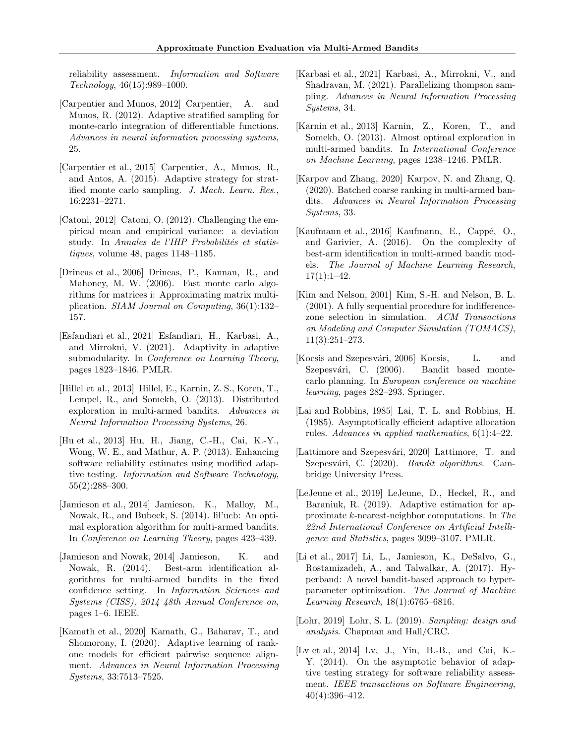reliability assessment. *Information and Software Technology*, 46(15):989–1000.

- [Carpentier and Munos, 2012] Carpentier, A. and Munos, R. (2012). Adaptive stratified sampling for monte-carlo integration of differentiable functions. *Advances in neural information processing systems*, 25.
- [Carpentier et al., 2015] Carpentier, A., Munos, R., and Antos, A. (2015). Adaptive strategy for stratified monte carlo sampling. *J. Mach. Learn. Res.*, 16:2231–2271.
- [Catoni, 2012] Catoni, O. (2012). Challenging the empirical mean and empirical variance: a deviation study. In *Annales de l'IHP Probabilités et statistiques*, volume 48, pages 1148–1185.
- [Drineas et al., 2006] Drineas, P., Kannan, R., and Mahoney, M. W. (2006). Fast monte carlo algorithms for matrices i: Approximating matrix multiplication. *SIAM Journal on Computing*, 36(1):132– 157.
- [Esfandiari et al., 2021] Esfandiari, H., Karbasi, A., and Mirrokni, V. (2021). Adaptivity in adaptive submodularity. In *Conference on Learning Theory*, pages 1823–1846. PMLR.
- [Hillel et al., 2013] Hillel, E., Karnin, Z. S., Koren, T., Lempel, R., and Somekh, O. (2013). Distributed exploration in multi-armed bandits. *Advances in Neural Information Processing Systems*, 26.
- [Hu et al., 2013] Hu, H., Jiang, C.-H., Cai, K.-Y., Wong, W. E., and Mathur, A. P. (2013). Enhancing software reliability estimates using modified adaptive testing. *Information and Software Technology*, 55(2):288–300.
- [Jamieson et al., 2014] Jamieson, K., Malloy, M., Nowak, R., and Bubeck, S. (2014). lil'ucb: An optimal exploration algorithm for multi-armed bandits. In *Conference on Learning Theory*, pages 423–439.
- [Jamieson and Nowak, 2014] Jamieson, K. and Nowak, R. (2014). Best-arm identification algorithms for multi-armed bandits in the fixed confidence setting. In *Information Sciences and Systems (CISS), 2014 48th Annual Conference on*, pages 1–6. IEEE.
- [Kamath et al., 2020] Kamath, G., Baharav, T., and Shomorony, I. (2020). Adaptive learning of rankone models for efficient pairwise sequence alignment. *Advances in Neural Information Processing Systems*, 33:7513–7525.
- [Karbasi et al., 2021] Karbasi, A., Mirrokni, V., and Shadravan, M. (2021). Parallelizing thompson sampling. *Advances in Neural Information Processing Systems*, 34.
- [Karnin et al., 2013] Karnin, Z., Koren, T., and Somekh, O. (2013). Almost optimal exploration in multi-armed bandits. In *International Conference on Machine Learning*, pages 1238–1246. PMLR.
- [Karpov and Zhang, 2020] Karpov, N. and Zhang, Q. (2020). Batched coarse ranking in multi-armed bandits. *Advances in Neural Information Processing Systems*, 33.
- [Kaufmann et al., 2016] Kaufmann, E., Cappé, O., and Garivier, A. (2016). On the complexity of best-arm identification in multi-armed bandit models. *The Journal of Machine Learning Research*,  $17(1):1-42.$
- [Kim and Nelson, 2001] Kim, S.-H. and Nelson, B. L.  $(2001)$ . A fully sequential procedure for indifferencezone selection in simulation. *ACM Transactions on Modeling and Computer Simulation (TOMACS)*, 11(3):251–273.
- [Kocsis and Szepesvári, 2006] Kocsis, L. and Szepesvári, C. (2006). Bandit based montecarlo planning. In *European conference on machine learning*, pages 282–293. Springer.
- [Lai and Robbins, 1985] Lai, T. L. and Robbins, H. (1985). Asymptotically efficient adaptive allocation rules. *Advances in applied mathematics*, 6(1):4–22.
- [Lattimore and Szepesvári, 2020] Lattimore, T. and Szepesvári, C. (2020). *Bandit algorithms*. Cambridge University Press.
- [LeJeune et al., 2019] LeJeune, D., Heckel, R., and Baraniuk, R. (2019). Adaptive estimation for approximate *k*-nearest-neighbor computations. In *The 22nd International Conference on Artificial Intelligence and Statistics*, pages 3099–3107. PMLR.
- [Li et al., 2017] Li, L., Jamieson, K., DeSalvo, G., Rostamizadeh, A., and Talwalkar, A. (2017). Hyperband: A novel bandit-based approach to hyperparameter optimization. *The Journal of Machine Learning Research*, 18(1):6765–6816.
- [Lohr, 2019] Lohr, S. L. (2019). *Sampling: design and analysis*. Chapman and Hall/CRC.
- [Lv et al., 2014] Lv, J., Yin, B.-B., and Cai, K.- Y. (2014). On the asymptotic behavior of adaptive testing strategy for software reliability assessment. *IEEE transactions on Software Engineering*, 40(4):396–412.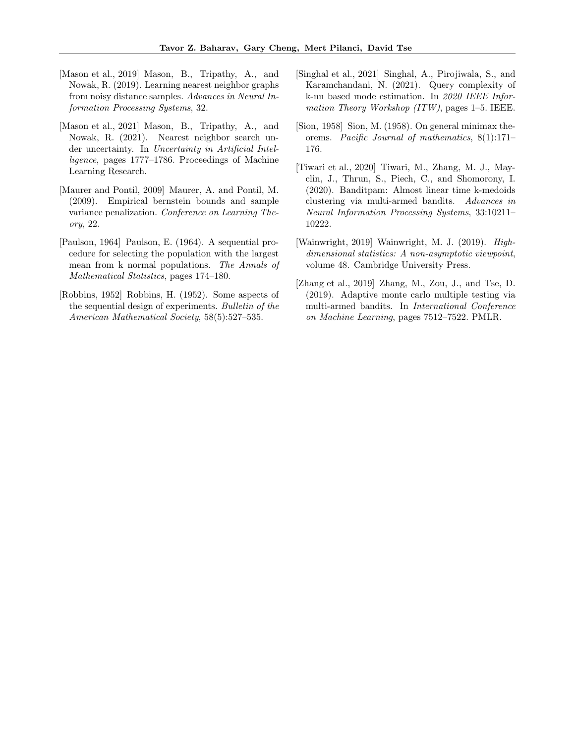- [Mason et al., 2019] Mason, B., Tripathy, A., and Nowak, R. (2019). Learning nearest neighbor graphs from noisy distance samples. *Advances in Neural Information Processing Systems*, 32.
- [Mason et al., 2021] Mason, B., Tripathy, A., and Nowak, R. (2021). Nearest neighbor search under uncertainty. In *Uncertainty in Artificial Intelligence*, pages 1777–1786. Proceedings of Machine Learning Research.
- [Maurer and Pontil, 2009] Maurer, A. and Pontil, M. (2009). Empirical bernstein bounds and sample variance penalization. *Conference on Learning Theory*, 22.
- [Paulson, 1964] Paulson, E. (1964). A sequential procedure for selecting the population with the largest mean from k normal populations. *The Annals of Mathematical Statistics*, pages 174–180.
- [Robbins, 1952] Robbins, H. (1952). Some aspects of the sequential design of experiments. *Bulletin of the American Mathematical Society*, 58(5):527–535.
- [Singhal et al., 2021] Singhal, A., Pirojiwala, S., and Karamchandani, N. (2021). Query complexity of k-nn based mode estimation. In *2020 IEEE Information Theory Workshop (ITW)*, pages 1–5. IEEE.
- [Sion, 1958] Sion, M. (1958). On general minimax theorems. *Pacific Journal of mathematics*, 8(1):171– 176.
- [Tiwari et al., 2020] Tiwari, M., Zhang, M. J., Mayclin, J., Thrun, S., Piech, C., and Shomorony, I. (2020). Banditpam: Almost linear time k-medoids clustering via multi-armed bandits. *Advances in Neural Information Processing Systems*, 33:10211– 10222.
- [Wainwright, 2019] Wainwright, M. J. (2019). *Highdimensional statistics: A non-asymptotic viewpoint*, volume 48. Cambridge University Press.
- [Zhang et al., 2019] Zhang, M., Zou, J., and Tse, D. (2019). Adaptive monte carlo multiple testing via multi-armed bandits. In *International Conference on Machine Learning*, pages 7512–7522. PMLR.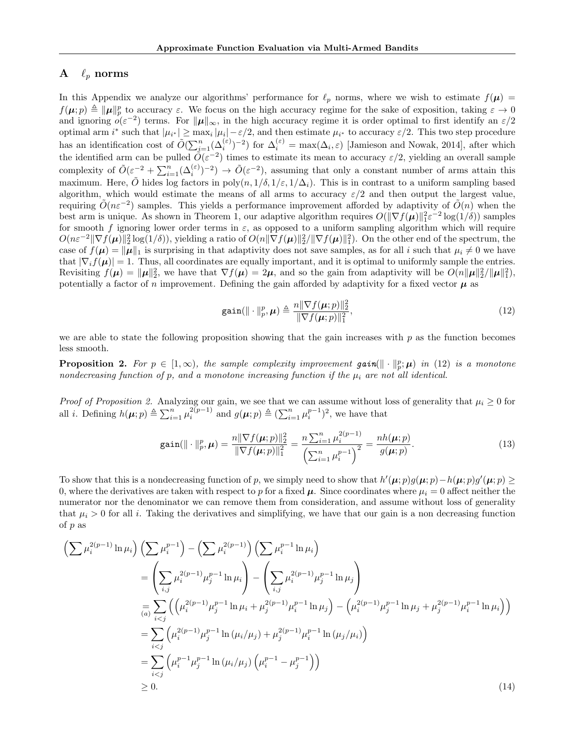# A  $\ell_p$  norms

In this Appendix we analyze our algorithms' performance for  $\ell_p$  norms, where we wish to estimate  $f(\mu)$  =  $f(\boldsymbol{\mu}; p) \triangleq ||\boldsymbol{\mu}||_p^p$  to accuracy  $\varepsilon$ . We focus on the high accuracy regime for the sake of exposition, taking  $\varepsilon \to 0$ and ignoring  $o(\varepsilon^{-2})$  terms. For  $\|\mu\|_{\infty}$ , in the high accuracy regime it is order optimal to first identify an  $\varepsilon/2$ optimal arm  $i^*$  such that  $|\mu_{i^*}| \ge \max_i |\mu_i| - \varepsilon/2$ , and then estimate  $\mu_{i^*}$  to accuracy  $\varepsilon/2$ . This two step procedure has an identification cost of  $\tilde{O}(\sum_{i=1}^{n}(\Delta_i^{(\varepsilon)})^{-2})$  for  $\Delta_i^{(\varepsilon)} = \max(\Delta_i, \varepsilon)$  [Jamieson and Nowak, 2014], after which the identified arm can be pulled  $\tilde{O}(\varepsilon^{-2})$  times to estimate its mean to accuracy  $\varepsilon/2$ , yielding an overall sample complexity of  $\tilde{O}(\varepsilon^{-2} + \sum_{i=1}^n (\Delta_i^{(\varepsilon)})^{-2}) \to \tilde{O}(\varepsilon^{-2})$ , assuming that only a constant number of arms attain this maximum. Here,  $\tilde{O}$  hides log factors in poly $(n, 1/\delta, 1/\varepsilon, 1/\Delta_i)$ . This is in contrast to a uniform sampling based algorithm, which would estimate the means of all arms to accuracy  $\varepsilon/2$  and then output the largest value, requiring  $\tilde{O}(n\varepsilon^{-2})$  samples. This yields a performance improvement afforded by adaptivity of  $\tilde{O}(n)$  when the best arm is unique. As shown in Theorem 1, our adaptive algorithm requires  $O(||\nabla f(\boldsymbol{\mu})||_1^2 \varepsilon^{-2} \log(1/\delta))$  samples for smooth *f* ignoring lower order terms in  $\varepsilon$ , as opposed to a uniform sampling algorithm which will require  $O(n\varepsilon^{-2} \|\nabla f(\boldsymbol{\mu})\|_2^2 \log(1/\delta)$ , yielding a ratio of  $O(n\|\nabla f(\boldsymbol{\mu})\|_2^2 / \|\nabla f(\boldsymbol{\mu})\|_1^2)$ . On the other end of the spectrum, the case of  $f(\mu) = ||\mu||_1$  is surprising in that adaptivity does not save samples, as for all *i* such that  $\mu_i \neq 0$  we have that  $|\nabla_i f(\mu)| = 1$ . Thus, all coordinates are equally important, and it is optimal to uniformly sample the entries. Revisiting  $f(\mu) = \|\mu\|_2^2$ , we have that  $\nabla f(\mu) = 2\mu$ , and so the gain from adaptivity will be  $O(n\|\mu\|_2^2/\|\mu\|_1^2)$ , potentially a factor of *n* improvement. Defining the gain afforded by adaptivity for a fixed vector  $\mu$  as

$$
\text{gain}(\|\cdot\|_p^p, \mu) \triangleq \frac{n\|\nabla f(\mu; p)\|_2^2}{\|\nabla f(\mu; p)\|_1^2},\tag{12}
$$

we are able to state the following proposition showing that the gain increases with *p* as the function becomes less smooth.

**Proposition 2.** For  $p \in [1, \infty)$ , the sample complexity improvement  $gain(\Vert \cdot \Vert_p^p; \mu)$  in (12) is a monotone *nondecreasing function of p, and a monotone increasing function if the µ<sup>i</sup> are not all identical.*

*Proof of Proposition 2.* Analyzing our gain, we see that we can assume without loss of generality that  $\mu_i \geq 0$  for all *i*. Defining  $h(\boldsymbol{\mu}; p) \triangleq \sum_{i=1}^n \mu_i^{2(p-1)}$  and  $g(\boldsymbol{\mu}; p) \triangleq (\sum_{i=1}^n \mu_i^{p-1})^2$ , we have that

$$
\text{gain}(\|\cdot\|_p^p, \mu) = \frac{n\|\nabla f(\mu; p)\|_2^2}{\|\nabla f(\mu; p)\|_1^2} = \frac{n\sum_{i=1}^n \mu_i^{2(p-1)}}{\left(\sum_{i=1}^n \mu_i^{p-1}\right)^2} = \frac{nh(\mu; p)}{g(\mu; p)}.
$$
\n(13)

To show that this is a nondecreasing function of *p*, we simply need to show that  $h'(\mu; p)g(\mu; p) - h(\mu; p)g'(\mu; p) \ge$ 0, where the derivatives are taken with respect to p for a fixed  $\mu$ . Since coordinates where  $\mu_i = 0$  affect neither the numerator nor the denominator we can remove them from consideration, and assume without loss of generality that  $\mu_i > 0$  for all *i*. Taking the derivatives and simplifying, we have that our gain is a non decreasing function of *p* as

$$
\left(\sum \mu_i^{2(p-1)} \ln \mu_i\right) \left(\sum \mu_i^{p-1}\right) - \left(\sum \mu_i^{2(p-1)}\right) \left(\sum \mu_i^{p-1} \ln \mu_i\right)
$$
  
\n
$$
= \left(\sum_{i,j} \mu_i^{2(p-1)} \mu_j^{p-1} \ln \mu_i\right) - \left(\sum_{i,j} \mu_i^{2(p-1)} \mu_j^{p-1} \ln \mu_j\right)
$$
  
\n
$$
= \sum_{i  
\n
$$
= \sum_{i  
\n
$$
= \sum_{i  
\n
$$
\geq 0.
$$
 (14)
$$
$$
$$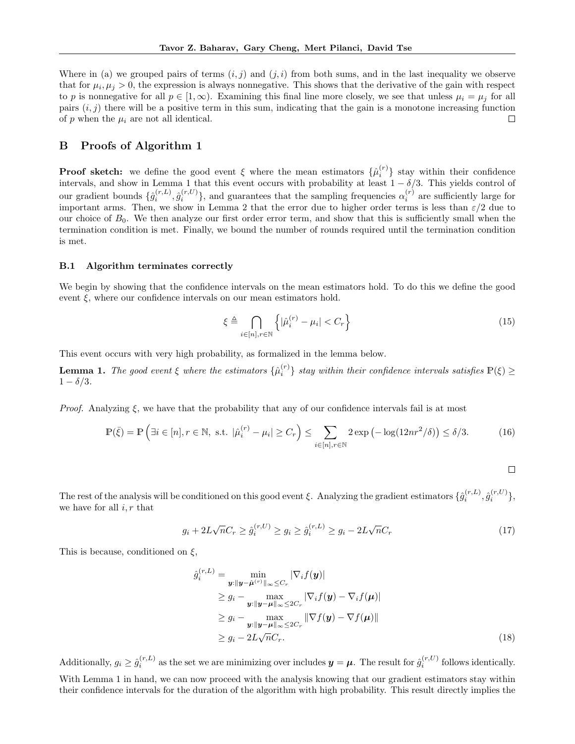Where in (a) we grouped pairs of terms  $(i, j)$  and  $(j, i)$  from both sums, and in the last inequality we observe that for  $\mu_i, \mu_j > 0$ , the expression is always nonnegative. This shows that the derivative of the gain with respect to *p* is nonnegative for all  $p \in [1, \infty)$ . Examining this final line more closely, we see that unless  $\mu_i = \mu_j$  for all pairs  $(i, j)$  there will be a positive term in this sum, indicating that the gain is a monotone increasing function of  $p$  when the  $\mu_i$  are not all identical.  $\Box$ 

# B Proofs of Algorithm 1

**Proof sketch:** we define the good event  $\xi$  where the mean estimators  $\{\hat{\mu}_i^{(r)}\}$  stay within their confidence intervals, and show in Lemma 1 that this event occurs with probability at least  $1 - \delta/3$ . This yields control of our gradient bounds  $\{\hat{g}_i^{(r,L)}, \hat{g}_i^{(r,U)}\}$ , and guarantees that the sampling frequencies  $\alpha_i^{(r)}$  are sufficiently large for important arms. Then, we show in Lemma 2 that the error due to higher order terms is less than  $\varepsilon/2$  due to our choice of  $B_0$ . We then analyze our first order error term, and show that this is sufficiently small when the termination condition is met. Finally, we bound the number of rounds required until the termination condition is met.

#### B.1 Algorithm terminates correctly

We begin by showing that the confidence intervals on the mean estimators hold. To do this we define the good event  $\xi$ , where our confidence intervals on our mean estimators hold.

$$
\xi \triangleq \bigcap_{i \in [n], r \in \mathbb{N}} \left\{ |\hat{\mu}_i^{(r)} - \mu_i| < C_r \right\} \tag{15}
$$

This event occurs with very high probability, as formalized in the lemma below.

**Lemma 1.** The good event  $\xi$  where the estimators  $\{\hat{\mu}_i^{(r)}\}$  stay within their confidence intervals satisfies  $\mathbb{P}(\xi) \geq$  $1 - \delta/3$ .

*Proof.* Analyzing  $\xi$ , we have that the probability that any of our confidence intervals fail is at most

$$
\mathbb{P}(\bar{\xi}) = \mathbb{P}\left(\exists i \in [n], r \in \mathbb{N}, \text{ s.t. } |\hat{\mu}_i^{(r)} - \mu_i| \ge C_r\right) \le \sum_{i \in [n], r \in \mathbb{N}} 2\exp\left(-\log(12nr^2/\delta)\right) \le \delta/3. \tag{16}
$$

 $\Box$ 

The rest of the analysis will be conditioned on this good event  $\xi$ . Analyzing the gradient estimators  $\{\hat{g}_i^{(r,L)}, \hat{g}_i^{(r,U)}\}$ , we have for all *i, r* that

$$
g_i + 2L\sqrt{n}C_r \ge \hat{g}_i^{(r,U)} \ge g_i \ge \hat{g}_i^{(r,L)} \ge g_i - 2L\sqrt{n}C_r
$$
\n(17)

This is because, conditioned on  $\xi$ ,

$$
\hat{g}_i^{(r,L)} = \min_{\mathbf{y}: \|\mathbf{y} - \hat{\boldsymbol{\mu}}^{(r)}\|_{\infty} \leq C_r} |\nabla_i f(\mathbf{y})|
$$
\n
$$
\geq g_i - \max_{\mathbf{y}: \|\mathbf{y} - \boldsymbol{\mu}\|_{\infty} \leq 2C_r} |\nabla_i f(\mathbf{y}) - \nabla_i f(\boldsymbol{\mu})|
$$
\n
$$
\geq g_i - \max_{\mathbf{y}: \|\mathbf{y} - \boldsymbol{\mu}\|_{\infty} \leq 2C_r} \|\nabla f(\mathbf{y}) - \nabla f(\boldsymbol{\mu})\|
$$
\n
$$
\geq g_i - 2L\sqrt{n}C_r.
$$
\n(18)

Additionally,  $g_i \geq \hat{g}_i^{(r,L)}$  as the set we are minimizing over includes  $y = \mu$ . The result for  $\hat{g}_i^{(r,U)}$  follows identically. With Lemma 1 in hand, we can now proceed with the analysis knowing that our gradient estimators stay within their confidence intervals for the duration of the algorithm with high probability. This result directly implies the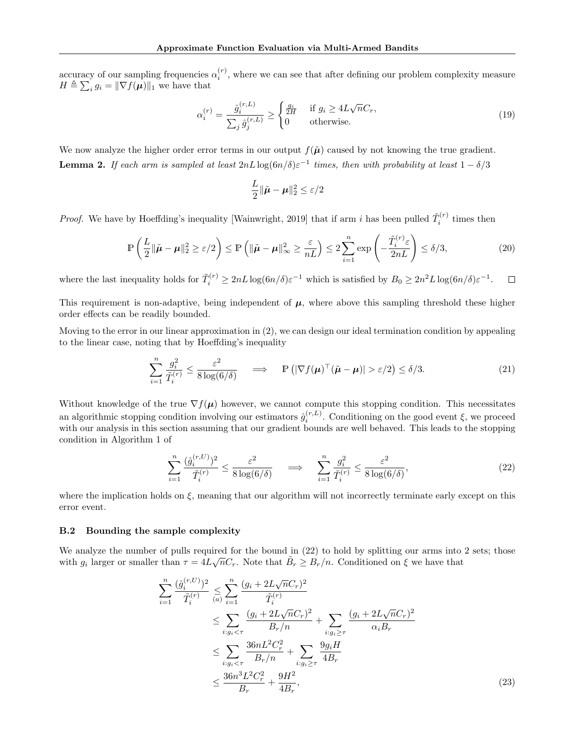accuracy of our sampling frequencies  $\alpha_i^{(r)}$ , where we can see that after defining our problem complexity measure  $H \triangleq \sum_i g_i = ||\nabla f(\boldsymbol{\mu})||_1$  we have that

$$
\alpha_i^{(r)} = \frac{\hat{g}_i^{(r,L)}}{\sum_j \hat{g}_j^{(r,L)}} \ge \begin{cases} \frac{g_i}{2H} & \text{if } g_i \ge 4L\sqrt{n}C_r, \\ 0 & \text{otherwise.} \end{cases} \tag{19}
$$

We now analyze the higher order error terms in our output  $f(\tilde{\mu})$  caused by not knowing the true gradient. **Lemma 2.** If each arm is sampled at least  $2nL\log(6n/\delta)\varepsilon^{-1}$  times, then with probability at least  $1-\delta/3$ 

$$
\frac{L}{2} \|\tilde{\boldsymbol{\mu}} - \boldsymbol{\mu}\|_2^2 \le \varepsilon/2
$$

*Proof.* We have by Hoeffding's inequality [Wainwright, 2019] that if arm *i* has been pulled  $\tilde{T}_i^{(r)}$  times then

$$
\mathbb{P}\left(\frac{L}{2}\|\tilde{\boldsymbol{\mu}} - \boldsymbol{\mu}\|_{2}^{2} \geq \varepsilon/2\right) \leq \mathbb{P}\left(\|\tilde{\boldsymbol{\mu}} - \boldsymbol{\mu}\|_{\infty}^{2} \geq \frac{\varepsilon}{nL}\right) \leq 2\sum_{i=1}^{n} \exp\left(-\frac{\tilde{T}_{i}^{(r)}\varepsilon}{2nL}\right) \leq \delta/3,
$$
\n(20)

where the last inequality holds for  $\tilde{T}_i^{(r)} \ge 2nL \log(6n/\delta) \varepsilon^{-1}$  which is satisfied by  $B_0 \ge 2n^2L \log(6n/\delta) \varepsilon^{-1}$ .  $\Box$ 

This requirement is non-adaptive, being independent of  $\mu$ , where above this sampling threshold these higher order effects can be readily bounded.

Moving to the error in our linear approximation in (2), we can design our ideal termination condition by appealing to the linear case, noting that by Hoeffding's inequality

$$
\sum_{i=1}^{n} \frac{g_i^2}{\tilde{T}_i^{(r)}} \le \frac{\varepsilon^2}{8 \log(6/\delta)} \quad \implies \quad \mathbb{P}\left( |\nabla f(\boldsymbol{\mu})^\top (\tilde{\boldsymbol{\mu}} - \boldsymbol{\mu})| > \varepsilon/2 \right) \le \delta/3. \tag{21}
$$

Without knowledge of the true  $\nabla f(\mu)$  however, we cannot compute this stopping condition. This necessitates an algorithmic stopping condition involving our estimators  $\hat{g}_i^{(r,L)}$ . Conditioning on the good event  $\xi$ , we proceed with our analysis in this section assuming that our gradient bounds are well behaved. This leads to the stopping condition in Algorithm 1 of

$$
\sum_{i=1}^{n} \frac{(\hat{g}_i^{(r,U)})^2}{\tilde{T}_i^{(r)}} \le \frac{\varepsilon^2}{8 \log(6/\delta)} \quad \implies \quad \sum_{i=1}^{n} \frac{g_i^2}{\tilde{T}_i^{(r)}} \le \frac{\varepsilon^2}{8 \log(6/\delta)},\tag{22}
$$

where the implication holds on  $\xi$ , meaning that our algorithm will not incorrectly terminate early except on this error event.

#### B.2 Bounding the sample complexity

We analyze the number of pulls required for the bound in  $(22)$  to hold by splitting our arms into 2 sets; those with  $g_i$  larger or smaller than  $\tau = 4L\sqrt{n}C_r$ . Note that  $\tilde{B}_r \geq B_r/n$ . Conditioned on  $\xi$  we have that

$$
\sum_{i=1}^{n} \frac{(\hat{g}_i^{(r,U)})^2}{\tilde{T}_i^{(r)}} \leq \sum_{i=1}^{n} \frac{(g_i + 2L\sqrt{n}C_r)^2}{\tilde{T}_i^{(r)}}
$$
\n
$$
\leq \sum_{i:g_i < \tau} \frac{(g_i + 2L\sqrt{n}C_r)^2}{B_r/n} + \sum_{i:g_i \geq \tau} \frac{(g_i + 2L\sqrt{n}C_r)^2}{\alpha_i B_r}
$$
\n
$$
\leq \sum_{i:g_i < \tau} \frac{36nL^2C_r^2}{B_r/n} + \sum_{i:g_i \geq \tau} \frac{9g_iH}{4B_r}
$$
\n
$$
\leq \frac{36n^3L^2C_r^2}{B_r} + \frac{9H^2}{4B_r},\tag{23}
$$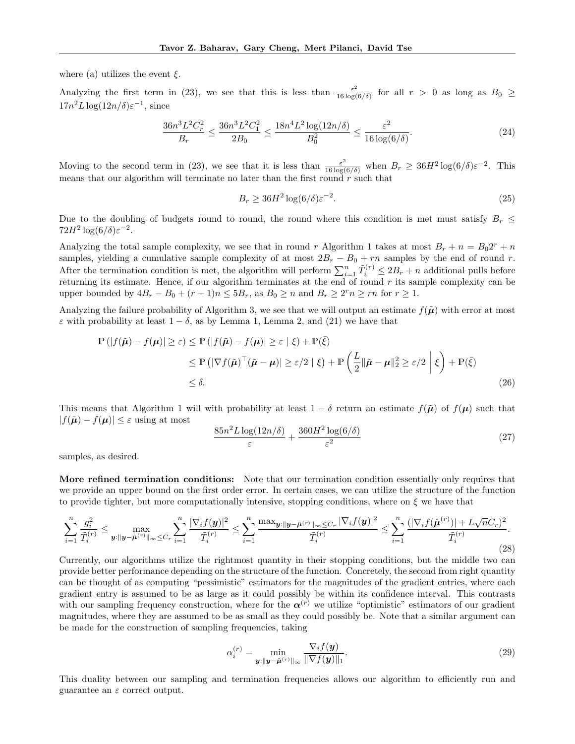where (a) utilizes the event  $\xi$ .

Analyzing the first term in (23), we see that this is less than  $\frac{\varepsilon^2}{16 \log(6/\delta)}$  for all  $r > 0$  as long as  $B_0 \ge$  $17n^2L\log(12n/\delta)\varepsilon^{-1}$ , since

$$
\frac{36n^3L^2C_r^2}{B_r} \le \frac{36n^3L^2C_1^2}{2B_0} \le \frac{18n^4L^2\log(12n/\delta)}{B_0^2} \le \frac{\varepsilon^2}{16\log(6/\delta)}.\tag{24}
$$

Moving to the second term in (23), we see that it is less than  $\frac{\varepsilon^2}{16 \log(6/\delta)}$  when  $B_r \geq 36H^2 \log(6/\delta) \varepsilon^{-2}$ . This means that our algorithm will terminate no later than the first round *r* such that

$$
B_r \ge 36H^2 \log(6/\delta) \varepsilon^{-2}.\tag{25}
$$

Due to the doubling of budgets round to round, the round where this condition is met must satisfy  $B_r \leq$  $72H^2 \log(6/\delta) \varepsilon^{-2}$ .

Analyzing the total sample complexity, we see that in round *r* Algorithm 1 takes at most  $B_r + n = B_0 2^r + n$ samples, yielding a cumulative sample complexity of at most  $2B_r - B_0 + rn$  samples by the end of round *r*. After the termination condition is met, the algorithm will perform  $\sum_{i=1}^{n} \tilde{T}_i^{(r)} \leq 2B_r + n$  additional pulls before returning its estimate. Hence, if our algorithm terminates at the end of round *r* its sample complexity can be upper bounded by  $4B_r - B_0 + (r+1)n \leq 5B_r$ , as  $B_0 \geq n$  and  $B_r \geq 2^r n \geq rn$  for  $r \geq 1$ .

Analyzing the failure probability of Algorithm 3, we see that we will output an estimate  $f(\tilde{\mu})$  with error at most  $\varepsilon$  with probability at least  $1 - \delta$ , as by Lemma 1, Lemma 2, and (21) we have that

$$
\mathbb{P}(|f(\tilde{\boldsymbol{\mu}}) - f(\boldsymbol{\mu})| \geq \varepsilon) \leq \mathbb{P}(|f(\tilde{\boldsymbol{\mu}}) - f(\boldsymbol{\mu})| \geq \varepsilon | \xi) + \mathbb{P}(\bar{\xi})
$$
  
\n
$$
\leq \mathbb{P}(|\nabla f(\tilde{\boldsymbol{\mu}})^\top (\tilde{\boldsymbol{\mu}} - \boldsymbol{\mu})| \geq \varepsilon/2 | \xi) + \mathbb{P}\left(\frac{L}{2} \|\tilde{\boldsymbol{\mu}} - \boldsymbol{\mu}\|_2^2 \geq \varepsilon/2 | \xi \right) + \mathbb{P}(\bar{\xi})
$$
  
\n
$$
\leq \delta.
$$
\n(26)

This means that Algorithm 1 will with probability at least  $1 - \delta$  return an estimate  $f(\tilde{\mu})$  of  $f(\mu)$  such that  $|f(\tilde{\boldsymbol{\mu}}) - f(\boldsymbol{\mu})| \leq \varepsilon$  using at most

$$
\frac{85n^2L\log(12n/\delta)}{\varepsilon} + \frac{360H^2\log(6/\delta)}{\varepsilon^2} \tag{27}
$$

samples, as desired.

More refined termination conditions: Note that our termination condition essentially only requires that we provide an upper bound on the first order error. In certain cases, we can utilize the structure of the function to provide tighter, but more computationally intensive, stopping conditions, where on  $\xi$  we have that

$$
\sum_{i=1}^{n} \frac{g_i^2}{\tilde{T}_i^{(r)}} \le \max_{\mathbf{y}: \|\mathbf{y} - \hat{\mu}^{(r)}\|_{\infty} \le C_r} \sum_{i=1}^{n} \frac{|\nabla_i f(\mathbf{y})|^2}{\tilde{T}_i^{(r)}} \le \sum_{i=1}^{n} \frac{\max_{\mathbf{y}: \|\mathbf{y} - \hat{\mu}^{(r)}\|_{\infty} \le C_r} |\nabla_i f(\mathbf{y})|^2}{\tilde{T}_i^{(r)}} \le \sum_{i=1}^{n} \frac{(|\nabla_i f(\hat{\mu}^{(r)})| + L\sqrt{n}C_r)^2}{\tilde{T}_i^{(r)}}.
$$
\n(28)

Currently, our algorithms utilize the rightmost quantity in their stopping conditions, but the middle two can provide better performance depending on the structure of the function. Concretely, the second from right quantity can be thought of as computing "pessimistic" estimators for the magnitudes of the gradient entries, where each gradient entry is assumed to be as large as it could possibly be within its confidence interval. This contrasts with our sampling frequency construction, where for the  $\alpha^{(r)}$  we utilize "optimistic" estimators of our gradient magnitudes, where they are assumed to be as small as they could possibly be. Note that a similar argument can be made for the construction of sampling frequencies, taking

$$
\alpha_i^{(r)} = \min_{\boldsymbol{y}: \|\boldsymbol{y} - \hat{\boldsymbol{\mu}}^{(r)}\|_{\infty}} \frac{\nabla_i f(\boldsymbol{y})}{\|\nabla f(\boldsymbol{y})\|_1}.
$$
\n(29)

This duality between our sampling and termination frequencies allows our algorithm to efficiently run and guarantee an  $\varepsilon$  correct output.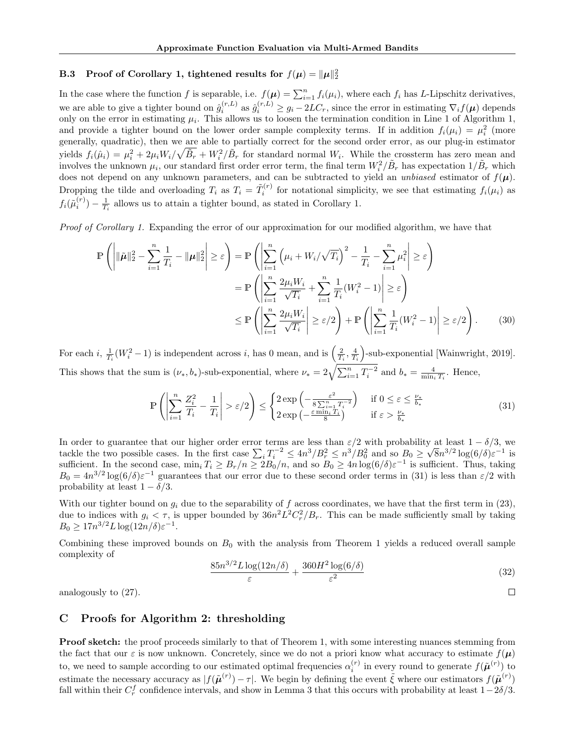# B.3 Proof of Corollary 1, tightened results for  $f(\mu) = ||\mu||_2^2$

In the case where the function *f* is separable, i.e.  $f(\mu) = \sum_{i=1}^{n} f_i(\mu_i)$ , where each  $f_i$  has *L*-Lipschitz derivatives, we are able to give a tighter bound on  $\hat{g}_i^{(r,L)}$  as  $\hat{g}_i^{(r,L)} \geq g_i - 2LC_r$ , since the error in estimating  $\nabla_i f(\mu)$  depends only on the error in estimating  $\mu_i$ . This allows us to loosen the termination condition in Line 1 of Algorithm 1, and provide a tighter bound on the lower order sample complexity terms. If in addition  $f_i(\mu_i) = \mu_i^2$  (more generally, quadratic), then we are able to partially correct for the second order error, as our plug-in estimator yields  $f_i(\hat{\mu}_i) = \mu_i^2 + 2\mu_i W_i / \sqrt{\tilde{B}_r} + W_i^2 / \tilde{B}_r$  for standard normal  $W_i$ . While the crossterm has zero mean and involves the unknown  $\mu_i$ , our standard first order error term, the final term  $W_i^2/\tilde{B}_r$  has expectation  $1/\tilde{B}_r$  which does not depend on any unknown parameters, and can be subtracted to yield an *unbiased* estimator of  $f(\mu)$ . Dropping the tilde and overloading  $T_i$  as  $T_i = \tilde{T}_i^{(r)}$  for notational simplicity, we see that estimating  $f_i(\mu_i)$  as  $f_i(\tilde{\mu}_i^{(r)}) - \frac{1}{T_i}$  allows us to attain a tighter bound, as stated in Corollary 1.

*Proof of Corollary 1.* Expanding the error of our approximation for our modified algorithm, we have that

$$
\mathbb{P}\left(\left|\|\tilde{\mu}\|_{2}^{2} - \sum_{i=1}^{n} \frac{1}{T_{i}} - \|\mu\|_{2}^{2}\right| \geq \varepsilon\right) = \mathbb{P}\left(\left|\sum_{i=1}^{n} \left(\mu_{i} + W_{i}/\sqrt{T_{i}}\right)^{2} - \frac{1}{T_{i}} - \sum_{i=1}^{n} \mu_{i}^{2}\right| \geq \varepsilon\right)
$$

$$
= \mathbb{P}\left(\left|\sum_{i=1}^{n} \frac{2\mu_{i}W_{i}}{\sqrt{T_{i}}} + \sum_{i=1}^{n} \frac{1}{T_{i}}(W_{i}^{2} - 1)\right| \geq \varepsilon\right)
$$

$$
\leq \mathbb{P}\left(\left|\sum_{i=1}^{n} \frac{2\mu_{i}W_{i}}{\sqrt{T_{i}}}\right| \geq \varepsilon/2\right) + \mathbb{P}\left(\left|\sum_{i=1}^{n} \frac{1}{T_{i}}(W_{i}^{2} - 1)\right| \geq \varepsilon/2\right).
$$
(30)

For each *i*,  $\frac{1}{T_i}(W_i^2 - 1)$  is independent across *i*, has 0 mean, and is  $\left(\frac{2}{T_i}, \frac{4}{T_i}\right)$ ⌘ -sub-exponential [Wainwright, 2019]. This shows that the sum is  $(\nu_*, b_*)$ -sub-exponential, where  $\nu_* = 2\sqrt{\sum_{i=1}^n T_i^{-2}}$  and  $b_* = \frac{4}{\min_i T_i}$ . Hence,

$$
\mathbb{P}\left(\left|\sum_{i=1}^{n}\frac{Z_i^2}{T_i} - \frac{1}{T_i}\right| > \varepsilon/2\right) \le \begin{cases} 2\exp\left(-\frac{\varepsilon^2}{8\sum_{i=1}^{n}T_i^{-2}}\right) & \text{if } 0 \le \varepsilon \le \frac{\nu_*}{b_*} \\ 2\exp\left(-\frac{\varepsilon\min_i T_i}{8}\right) & \text{if } \varepsilon > \frac{\nu_*}{b_*} \end{cases} \tag{31}
$$

In order to guarantee that our higher order error terms are less than  $\varepsilon/2$  with probability at least  $1 - \delta/3$ , we tackle the two possible cases. In the first case  $\sum_i T_i^{-2} \le 4n^3/B_r^2 \le n^3/B_0^2$  and so  $B_0 \ge \sqrt{8n^{3/2}}\log(6/\delta)\varepsilon^{-1}$  is sufficient. In the second case,  $\min_i T_i \geq B_r/n \geq 2B_0/n$ , and so  $B_0 \geq 4n \log(6/\delta) \varepsilon^{-1}$  is sufficient. Thus, taking  $B_0 = 4n^{3/2} \log(6/\delta) \varepsilon^{-1}$  guarantees that our error due to these second order terms in (31) is less than  $\varepsilon/2$  with probability at least  $1 - \delta/3$ .

With our tighter bound on  $g_i$  due to the separability of f across coordinates, we have that the first term in (23), due to indices with  $g_i < \tau$ , is upper bounded by  $36n^2L^2C_r^2/B_r$ . This can be made sufficiently small by taking  $B_0 \geq 17n^{3/2}L\log(12n/\delta)\varepsilon^{-1}.$ 

Combining these improved bounds on  $B_0$  with the analysis from Theorem 1 yields a reduced overall sample complexity of

$$
\frac{85n^{3/2}L\log(12n/\delta)}{\varepsilon} + \frac{360H^2\log(6/\delta)}{\varepsilon^2} \tag{32}
$$

 $\Box$ 

analogously to (27).

# C Proofs for Algorithm 2: thresholding

**Proof sketch:** the proof proceeds similarly to that of Theorem 1, with some interesting nuances stemming from the fact that our  $\varepsilon$  is now unknown. Concretely, since we do not a priori know what accuracy to estimate  $f(\mu)$ to, we need to sample according to our estimated optimal frequencies  $\alpha_i^{(r)}$  in every round to generate  $f(\tilde{\boldsymbol{\mu}}^{(r)})$  to estimate the necessary accuracy as  $|f(\tilde{\boldsymbol{\mu}}^{(r)}) - \tau|$ . We begin by defining the event  $\tilde{\xi}$  where our estimators  $f(\tilde{\boldsymbol{\mu}}^{(r)})$ fall within their  $C_r^f$  confidence intervals, and show in Lemma 3 that this occurs with probability at least  $1-2\delta/3$ .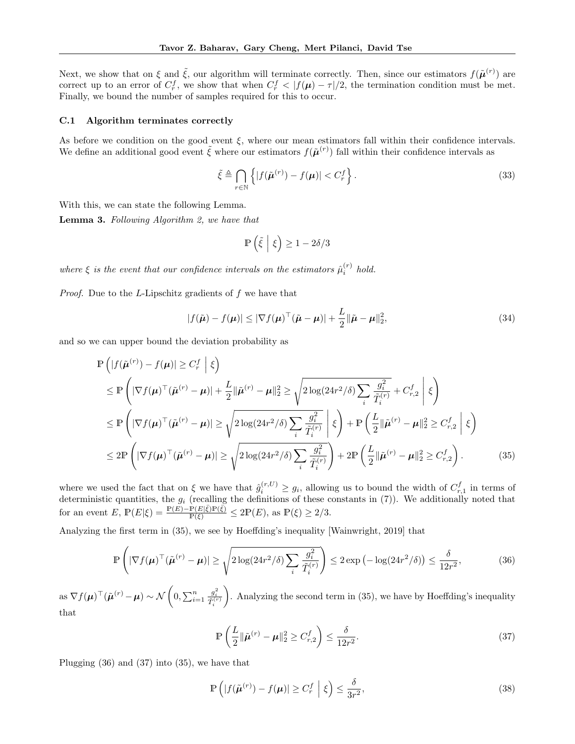Next, we show that on  $\xi$  and  $\tilde{\xi}$ , our algorithm will terminate correctly. Then, since our estimators  $f(\tilde{\mu}^{(r)})$  are correct up to an error of  $C_r^f$ , we show that when  $C_r^f \langle |f(\mu) - \tau|/2$ , the termination condition must be met. Finally, we bound the number of samples required for this to occur.

### C.1 Algorithm terminates correctly

As before we condition on the good event  $\xi$ , where our mean estimators fall within their confidence intervals. We define an additional good event  $\tilde{\xi}$  where our estimators  $f(\tilde{\mu}^{(r)})$  fall within their confidence intervals as

$$
\tilde{\xi} \triangleq \bigcap_{r \in \mathbb{N}} \left\{ |f(\tilde{\boldsymbol{\mu}}^{(r)}) - f(\boldsymbol{\mu})| < C_r^f \right\} . \tag{33}
$$

With this, we can state the following Lemma.

Lemma 3. *Following Algorithm 2, we have that*

$$
\mathbb{P}\left(\tilde{\xi}\,\,\bigg|\,\,\xi\right) \geq 1 - 2\delta/3
$$

*where*  $\xi$  *is the event that our confidence intervals on the estimators*  $\hat{\mu}_i^{(r)}$  *hold.* 

*Proof.* Due to the *L*-Lipschitz gradients of *f* we have that

$$
|f(\tilde{\boldsymbol{\mu}}) - f(\boldsymbol{\mu})| \le |\nabla f(\boldsymbol{\mu})^\top (\tilde{\boldsymbol{\mu}} - \boldsymbol{\mu})| + \frac{L}{2} ||\tilde{\boldsymbol{\mu}} - \boldsymbol{\mu}||_2^2,
$$
\n(34)

and so we can upper bound the deviation probability as

$$
\mathbb{P}\left(|f(\tilde{\boldsymbol{\mu}}^{(r)}) - f(\boldsymbol{\mu})| \ge C_r^f \mid \xi\right)
$$
\n
$$
\le \mathbb{P}\left(|\nabla f(\boldsymbol{\mu})^\top (\tilde{\boldsymbol{\mu}}^{(r)} - \boldsymbol{\mu})| + \frac{L}{2} ||\tilde{\boldsymbol{\mu}}^{(r)} - \boldsymbol{\mu}||_2^2 \ge \sqrt{2\log(24r^2/\delta)\sum_i \frac{g_i^2}{\tilde{T}_i^{(r)}}} + C_{r,2}^f \mid \xi\right)
$$
\n
$$
\le \mathbb{P}\left(|\nabla f(\boldsymbol{\mu})^\top (\tilde{\boldsymbol{\mu}}^{(r)} - \boldsymbol{\mu})| \ge \sqrt{2\log(24r^2/\delta)\sum_i \frac{g_i^2}{\tilde{T}_i^{(r)}}} \mid \xi\right) + \mathbb{P}\left(\frac{L}{2} ||\tilde{\boldsymbol{\mu}}^{(r)} - \boldsymbol{\mu}||_2^2 \ge C_{r,2}^f \mid \xi\right)
$$
\n
$$
\le 2\mathbb{P}\left(|\nabla f(\boldsymbol{\mu})^\top (\tilde{\boldsymbol{\mu}}^{(r)} - \boldsymbol{\mu})| \ge \sqrt{2\log(24r^2/\delta)\sum_i \frac{g_i^2}{\tilde{T}_i^{(r)}}}\right) + 2\mathbb{P}\left(\frac{L}{2} ||\tilde{\boldsymbol{\mu}}^{(r)} - \boldsymbol{\mu}||_2^2 \ge C_{r,2}^f\right). \tag{35}
$$

where we used the fact that on  $\xi$  we have that  $\hat{g}_i^{(r,U)} \geq g_i$ , allowing us to bound the width of  $C_{r,1}^f$  in terms of deterministic quantities, the  $g_i$  (recalling the definitions of these constants in (7)). We additionally noted that for an event  $E, \, \mathbb{P}(E|\xi) = \frac{\mathbb{P}(E) - \mathbb{P}(E|\xi)\mathbb{P}(\xi)}{\mathbb{P}(\xi)} \leq 2\mathbb{P}(E), \text{ as } \mathbb{P}(\xi) \geq 2/3.$ 

Analyzing the first term in (35), we see by Hoeffding's inequality [Wainwright, 2019] that

$$
\mathbb{P}\left(|\nabla f(\boldsymbol{\mu})^{\top}(\tilde{\boldsymbol{\mu}}^{(r)} - \boldsymbol{\mu})| \ge \sqrt{2\log(24r^2/\delta)\sum_i \frac{g_i^2}{\tilde{T}_i^{(r)}}}\right) \le 2\exp\left(-\log(24r^2/\delta)\right) \le \frac{\delta}{12r^2},\tag{36}
$$

as  $\nabla f(\boldsymbol{\mu})^{\top}(\tilde{\boldsymbol{\mu}}^{(r)} - \boldsymbol{\mu}) \sim \mathcal{N}$  $0, \sum_{i=1}^{n}$  $\frac{g_i^2}{\tilde{T}_i^{(r)}}$ ◆ . Analyzing the second term in  $(35)$ , we have by Hoeffding's inequality that

$$
\mathbb{P}\left(\frac{L}{2}\|\tilde{\boldsymbol{\mu}}^{(r)} - \boldsymbol{\mu}\|_2^2 \ge C_{r,2}^f\right) \le \frac{\delta}{12r^2}.
$$
\n(37)

Plugging (36) and (37) into (35), we have that

$$
\mathbb{P}\left(|f(\tilde{\boldsymbol{\mu}}^{(r)}) - f(\boldsymbol{\mu})| \ge C_r^f \mid \xi\right) \le \frac{\delta}{3r^2},\tag{38}
$$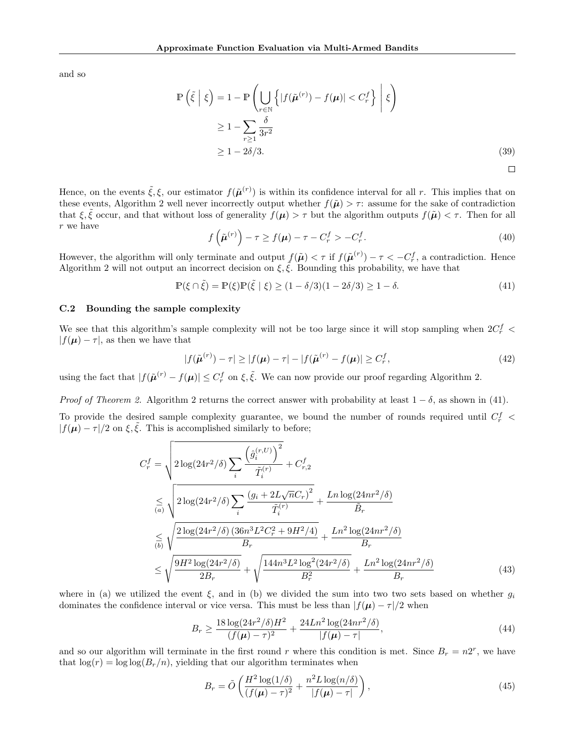and so

$$
\mathbb{P}\left(\tilde{\xi} \mid \xi\right) = 1 - \mathbb{P}\left(\bigcup_{r \in \mathbb{N}} \left\{|f(\tilde{\boldsymbol{\mu}}^{(r)}) - f(\boldsymbol{\mu})| < C_r^f\right\} \mid \xi\right)
$$
\n
$$
\geq 1 - \sum_{r \geq 1} \frac{\delta}{3r^2}
$$
\n
$$
\geq 1 - 2\delta/3. \tag{39}
$$

Hence, on the events  $\tilde{\xi}, \xi$ , our estimator  $f(\tilde{\mu}^{(r)})$  is within its confidence interval for all r. This implies that on these events, Algorithm 2 well never incorrectly output whether  $f(\tilde{\mu}) > \tau$ : assume for the sake of contradiction that  $\xi, \tilde{\xi}$  occur, and that without loss of generality  $f(\mu) > \tau$  but the algorithm outputs  $f(\tilde{\mu}) < \tau$ . Then for all *r* we have

$$
f\left(\tilde{\boldsymbol{\mu}}^{(r)}\right) - \tau \ge f(\boldsymbol{\mu}) - \tau - C_r^f > -C_r^f. \tag{40}
$$

However, the algorithm will only terminate and output  $f(\tilde{\boldsymbol{\mu}}) < \tau$  if  $f(\tilde{\boldsymbol{\mu}}^{(r)}) - \tau < -C_r^f$ , a contradiction. Hence Algorithm 2 will not output an incorrect decision on  $\xi, \tilde{\xi}$ . Bounding this probability, we have that

 $\mathbb{P}(\xi \cap \tilde{\xi}) = \mathbb{P}(\xi)\mathbb{P}(\tilde{\xi} \mid \xi) > (1 - \delta/3)(1 - 2\delta/3) > 1 - \delta.$  (41)

### C.2 Bounding the sample complexity

We see that this algorithm's sample complexity will not be too large since it will stop sampling when  $2C_r^f$  <  $|f(\boldsymbol{\mu}) - \tau|$ , as then we have that

$$
|f(\tilde{\boldsymbol{\mu}}^{(r)}) - \tau| \ge |f(\boldsymbol{\mu}) - \tau| - |f(\tilde{\boldsymbol{\mu}}^{(r)} - f(\boldsymbol{\mu})| \ge C_r^f,\tag{42}
$$

using the fact that  $|f(\tilde{\boldsymbol{\mu}}^{(r)} - f(\boldsymbol{\mu})| \le C_r^f$  on  $\xi, \tilde{\xi}$ . We can now provide our proof regarding Algorithm 2.

*Proof of Theorem 2.* Algorithm 2 returns the correct answer with probability at least  $1 - \delta$ , as shown in (41).

To provide the desired sample complexity guarantee, we bound the number of rounds required until *C<sup>f</sup> <sup>r</sup> <*  $|f(\mu) - \tau|/2$  on  $\xi, \tilde{\xi}$ . This is accomplished similarly to before;

$$
C_r^f = \sqrt{2 \log(24r^2/\delta) \sum_i \frac{\left(\hat{g}_i^{(r,U)}\right)^2}{\tilde{T}_i^{(r)}} + C_{r,2}^f}
$$
  
\n
$$
\leq \sqrt{2 \log(24r^2/\delta) \sum_i \frac{\left(g_i + 2L\sqrt{n}C_r\right)^2}{\tilde{T}_i^{(r)}} + \frac{Ln \log(24nr^2/\delta)}{\tilde{B}_r}}
$$
  
\n
$$
\leq \sqrt{\frac{2 \log(24r^2/\delta) \left(36n^3L^2C_r^2 + 9H^2/4\right)}{B_r} + \frac{Ln^2 \log(24nr^2/\delta)}{B_r}}
$$
  
\n
$$
\leq \sqrt{\frac{9H^2 \log(24r^2/\delta)}{2B_r} + \sqrt{\frac{144n^3L^2 \log^2(24r^2/\delta)}{B_r^2} + \frac{Ln^2 \log(24nr^2/\delta)}{B_r}}
$$
  
\n(43)

where in (a) we utilized the event  $\xi$ , and in (b) we divided the sum into two two sets based on whether  $g_i$ dominates the confidence interval or vice versa. This must be less than  $|f(\mu) - \tau|/2$  when

$$
B_r \ge \frac{18\log(24r^2/\delta)H^2}{(f(\mu)-\tau)^2} + \frac{24Ln^2\log(24nr^2/\delta)}{|f(\mu)-\tau|},\tag{44}
$$

and so our algorithm will terminate in the first round *r* where this condition is met. Since  $B_r = n2^r$ , we have that  $\log(r) = \log \log(B_r/n)$ , yielding that our algorithm terminates when

$$
B_r = \tilde{O}\left(\frac{H^2 \log(1/\delta)}{(f(\mu) - \tau)^2} + \frac{n^2 L \log(n/\delta)}{|f(\mu) - \tau|}\right),\tag{45}
$$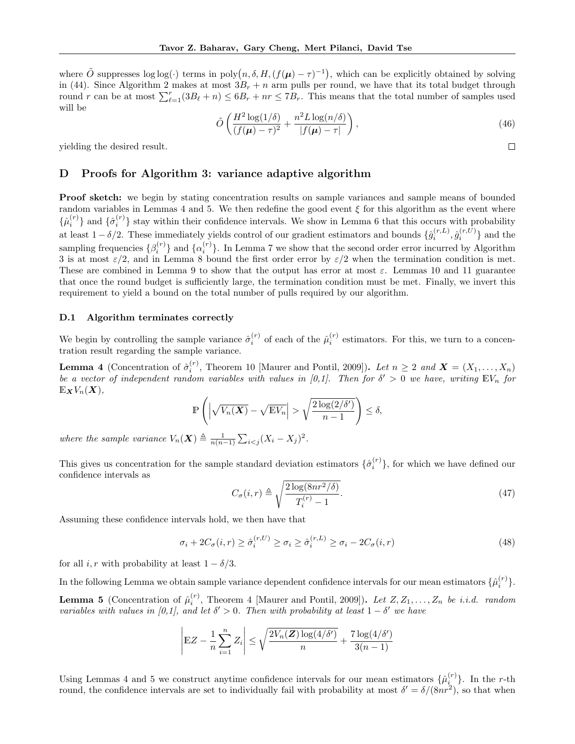where  $\tilde{O}$  suppresses log log(*·*) terms in poly $(n, \delta, H, (f(\boldsymbol{\mu}) - \tau)^{-1})$ , which can be explicitly obtained by solving in (44). Since Algorithm 2 makes at most  $3B_r + n$  arm pulls per round, we have that its total budget through round *r* can be at most  $\sum_{\ell=1}^r (3B_\ell + n) \leq 6B_r + nr \leq 7B_r$ . This means that the total number of samples used will be

$$
\tilde{O}\left(\frac{H^2\log(1/\delta)}{(f(\boldsymbol{\mu})-\tau)^2}+\frac{n^2L\log(n/\delta)}{|f(\boldsymbol{\mu})-\tau|}\right),\tag{46}
$$

 $\Box$ 

yielding the desired result.

# D Proofs for Algorithm 3: variance adaptive algorithm

**Proof sketch:** we begin by stating concentration results on sample variances and sample means of bounded random variables in Lemmas 4 and 5. We then redefine the good event  $\xi$  for this algorithm as the event where  $\{\hat{\mu}_i^{(r)}\}$  and  $\{\hat{\sigma}_i^{(r)}\}$  stay within their confidence intervals. We show in Lemma 6 that this occurs with probability at least  $1 - \delta/2$ . These immediately yields control of our gradient estimators and bounds  $\{\hat{g}_i^{(r,L)}, \hat{g}_i^{(r,U)}\}$  and the sampling frequencies  $\{\beta_i^{(r)}\}$  and  $\{\alpha_i^{(r)}\}$ . In Lemma 7 we show that the second order error incurred by Algorithm 3 is at most  $\varepsilon/2$ , and in Lemma 8 bound the first order error by  $\varepsilon/2$  when the termination condition is met. These are combined in Lemma 9 to show that the output has error at most  $\varepsilon$ . Lemmas 10 and 11 guarantee that once the round budget is sufficiently large, the termination condition must be met. Finally, we invert this requirement to yield a bound on the total number of pulls required by our algorithm.

### D.1 Algorithm terminates correctly

We begin by controlling the sample variance  $\hat{\sigma}_i^{(r)}$  of each of the  $\hat{\mu}_i^{(r)}$  estimators. For this, we turn to a concentration result regarding the sample variance.

**Lemma 4** (Concentration of  $\hat{\sigma}_i^{(r)}$ , Theorem 10 [Maurer and Pontil, 2009]). Let  $n \geq 2$  and  $\mathbf{X} = (X_1, \ldots, X_n)$ *be a vector of independent random variables with values in [0,1]. Then for*  $\delta' > 0$  *we have, writing*  $EV_n$  *for*  $\mathbb{E}_{\boldsymbol{X}}V_n(\boldsymbol{X}),$ 

$$
\mathbb{P}\left(\left|\sqrt{V_n(\boldsymbol{X})}-\sqrt{\mathbb{E}V_n}\right|>\sqrt{\frac{2\log(2/\delta')}{n-1}}\right)\leq \delta,
$$

*where the sample variance*  $V_n(\boldsymbol{X}) \triangleq \frac{1}{n(n-1)} \sum_{i < j} (X_i - X_j)^2$ .

This gives us concentration for the sample standard deviation estimators  $\{\hat{\sigma}_i^{(r)}\}$ , for which we have defined our confidence intervals as

$$
C_{\sigma}(i,r) \triangleq \sqrt{\frac{2\log(8nr^2/\delta)}{T_i^{(r)} - 1}}.\tag{47}
$$

Assuming these confidence intervals hold, we then have that

$$
\sigma_i + 2C_{\sigma}(i, r) \ge \hat{\sigma}_i^{(r, U)} \ge \sigma_i \ge \hat{\sigma}_i^{(r, L)} \ge \sigma_i - 2C_{\sigma}(i, r)
$$
\n(48)

for all *i*, *r* with probability at least  $1 - \delta/3$ .

In the following Lemma we obtain sample variance dependent confidence intervals for our mean estimators  $\{\hat{\mu}_i^{(r)}\}$ . **Lemma 5** (Concentration of  $\hat{\mu}_i^{(r)}$ , Theorem 4 [Maurer and Pontil, 2009]). Let  $Z, Z_1, \ldots, Z_n$  be i.i.d. random *variables with values in [0,1], and let*  $\delta' > 0$ *. Then with probability at least*  $1 - \delta'$  *we have* 

$$
\left| \mathbb{E} Z - \frac{1}{n} \sum_{i=1}^{n} Z_i \right| \leq \sqrt{\frac{2V_n(\boldsymbol{Z}) \log(4/\delta')}{n}} + \frac{7 \log(4/\delta')}{3(n-1)}
$$

Using Lemmas 4 and 5 we construct anytime confidence intervals for our mean estimators  $\{\hat{\mu}_i^{(r)}\}$ . In the *r*-th round, the confidence intervals are set to individually fail with probability at most  $\delta' = \delta/(8nr^2)$ , so that when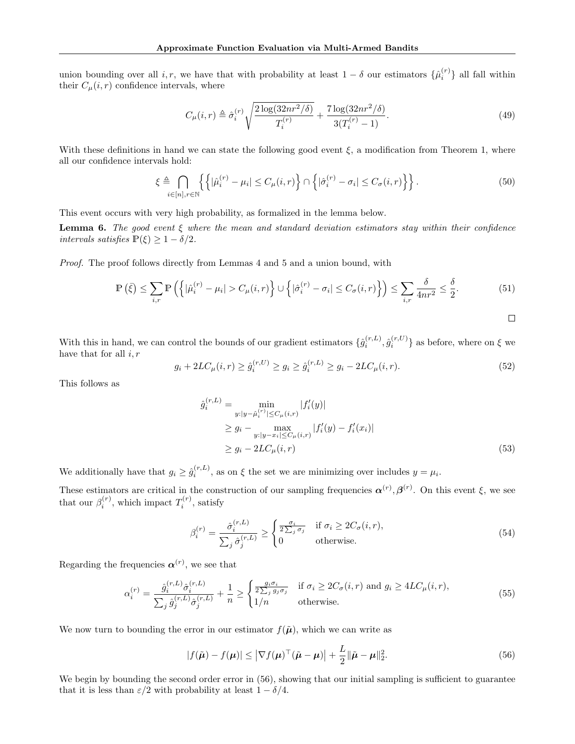union bounding over all *i, r,* we have that with probability at least  $1 - \delta$  our estimators  $\{\hat{\mu}_i^{(r)}\}$  all fall within their  $C_{\mu}(i, r)$  confidence intervals, where

$$
C_{\mu}(i,r) \triangleq \hat{\sigma}_i^{(r)} \sqrt{\frac{2\log(32nr^2/\delta)}{T_i^{(r)}} + \frac{7\log(32nr^2/\delta)}{3(T_i^{(r)} - 1)}}.
$$
\n(49)

With these definitions in hand we can state the following good event  $\xi$ , a modification from Theorem 1, where all our confidence intervals hold:

$$
\xi \triangleq \bigcap_{i \in [n], r \in \mathbb{N}} \left\{ \left| \hat{\mu}_i^{(r)} - \mu_i \right| \le C_\mu(i, r) \right\} \cap \left\{ |\hat{\sigma}_i^{(r)} - \sigma_i| \le C_\sigma(i, r) \right\} \right\}.
$$
\n
$$
(50)
$$

This event occurs with very high probability, as formalized in the lemma below.

**Lemma 6.** The good event  $\xi$  where the mean and standard deviation estimators stay within their confidence *intervals satisfies*  $P(\xi) \geq 1 - \delta/2$ .

*Proof.* The proof follows directly from Lemmas 4 and 5 and a union bound, with

$$
\mathbb{P}\left(\bar{\xi}\right) \le \sum_{i,r} \mathbb{P}\left(\left\{|\hat{\mu}_i^{(r)} - \mu_i| > C_{\mu}(i,r)\right\} \cup \left\{|\hat{\sigma}_i^{(r)} - \sigma_i| \le C_{\sigma}(i,r)\right\}\right) \le \sum_{i,r} \frac{\delta}{4nr^2} \le \frac{\delta}{2}.\tag{51}
$$

$$
\Box
$$

With this in hand, we can control the bounds of our gradient estimators  $\{\hat{g}_i^{(r,L)},\hat{g}_i^{(r,U)}\}$  as before, where on  $\xi$  we have that for all *i, r*

$$
g_i + 2LC_{\mu}(i, r) \ge \hat{g}_i^{(r, U)} \ge g_i \ge \hat{g}_i^{(r, L)} \ge g_i - 2LC_{\mu}(i, r). \tag{52}
$$

This follows as

$$
\hat{g}_i^{(r,L)} = \min_{\substack{y: |y - \hat{\mu}_i^{(r)}| \le C_{\mu}(i,r)}} |f_i'(y)|
$$
\n
$$
\ge g_i - \max_{\substack{y: |y - x_i| \le C_{\mu}(i,r)}} |f_i'(y) - f_i'(x_i)|
$$
\n
$$
\ge g_i - 2LC_{\mu}(i,r)
$$
\n(53)

We additionally have that  $g_i \geq \hat{g}_i^{(r,L)}$ , as on  $\xi$  the set we are minimizing over includes  $y = \mu_i$ .

These estimators are critical in the construction of our sampling frequencies  $\alpha^{(r)}, \beta^{(r)}$ . On this event  $\xi$ , we see that our  $\beta_i^{(r)}$ , which impact  $T_i^{(r)}$ , satisfy

$$
\beta_i^{(r)} = \frac{\hat{\sigma}_i^{(r,L)}}{\sum_j \hat{\sigma}_j^{(r,L)}} \ge \begin{cases} \frac{\sigma_i}{2\sum_j \sigma_j} & \text{if } \sigma_i \ge 2C_{\sigma}(i,r), \\ 0 & \text{otherwise.} \end{cases}
$$
\n(54)

Regarding the frequencies  $\boldsymbol{\alpha}^{(r)}$ , we see that

$$
\alpha_i^{(r)} = \frac{\hat{g}_i^{(r,L)}\hat{\sigma}_i^{(r,L)}}{\sum_j \hat{g}_j^{(r,L)}\hat{\sigma}_j^{(r,L)}} + \frac{1}{n} \ge \begin{cases} \frac{g_i \sigma_i}{2 \sum_j g_j \sigma_j} & \text{if } \sigma_i \ge 2C_\sigma(i,r) \text{ and } g_i \ge 4LC_\mu(i,r),\\ 1/n & \text{otherwise.} \end{cases}
$$
(55)

We now turn to bounding the error in our estimator  $f(\tilde{\boldsymbol{\mu}})$ , which we can write as

$$
|f(\tilde{\boldsymbol{\mu}}) - f(\boldsymbol{\mu})| \le |\nabla f(\boldsymbol{\mu})^\top (\tilde{\boldsymbol{\mu}} - \boldsymbol{\mu})| + \frac{L}{2} ||\tilde{\boldsymbol{\mu}} - \boldsymbol{\mu}||_2^2.
$$
 (56)

We begin by bounding the second order error in  $(56)$ , showing that our initial sampling is sufficient to guarantee that it is less than  $\varepsilon/2$  with probability at least  $1 - \delta/4$ .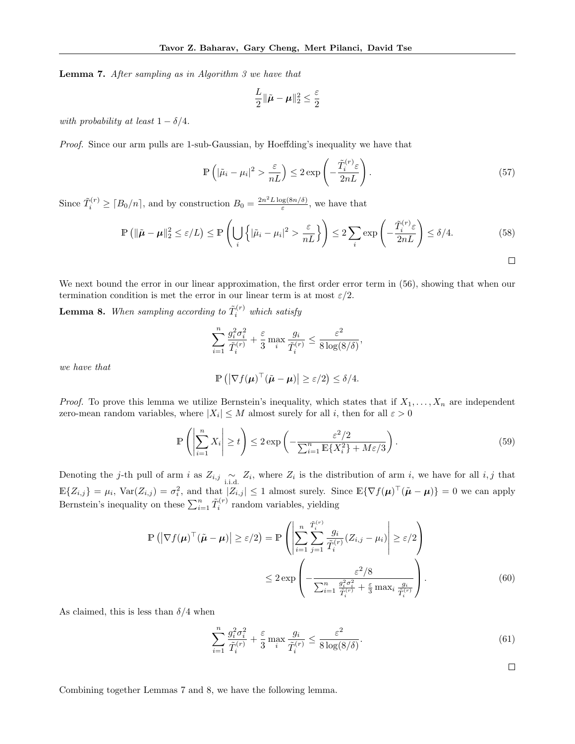Lemma 7. *After sampling as in Algorithm 3 we have that*

$$
\frac{L}{2} \|\tilde{\boldsymbol{\mu}} - \boldsymbol{\mu}\|_2^2 \leq \frac{\varepsilon}{2}
$$

*with probability at least*  $1 - \delta/4$ *.* 

*Proof.* Since our arm pulls are 1-sub-Gaussian, by Hoeffding's inequality we have that

$$
\mathbb{P}\left(|\tilde{\mu}_i - \mu_i|^2 > \frac{\varepsilon}{nL}\right) \le 2 \exp\left(-\frac{\tilde{T}_i^{(r)}\varepsilon}{2nL}\right). \tag{57}
$$

Since  $\tilde{T}_i^{(r)} \geq \lceil B_0/n \rceil$ , and by construction  $B_0 = \frac{2n^2 L \log(8n/\delta)}{\varepsilon}$ , we have that

$$
\mathbb{P}\left(\|\tilde{\boldsymbol{\mu}} - \boldsymbol{\mu}\|_{2}^{2} \leq \varepsilon/L\right) \leq \mathbb{P}\left(\bigcup_{i} \left\{|\tilde{\mu}_{i} - \mu_{i}|^{2} > \frac{\varepsilon}{nL}\right\}\right) \leq 2\sum_{i} \exp\left(-\frac{\tilde{T}_{i}^{(r)}\varepsilon}{2nL}\right) \leq \delta/4.
$$
\n(58)

We next bound the error in our linear approximation, the first order error term in  $(56)$ , showing that when our termination condition is met the error in our linear term is at most  $\varepsilon/2$ .

**Lemma 8.** When sampling according to  $\tilde{T}_i^{(r)}$  which satisfy

$$
\sum_{i=1}^n \frac{g_i^2 \sigma_i^2}{\tilde{T}_i^{(r)}} + \frac{\varepsilon}{3} \max_i \frac{g_i}{\tilde{T}_i^{(r)}} \le \frac{\varepsilon^2}{8 \log(8/\delta)},
$$

*we have that*

$$
\mathbb{P}\left(\left|\nabla f(\boldsymbol{\mu})^{\top}(\tilde{\boldsymbol{\mu}}-\boldsymbol{\mu})\right|\geq \varepsilon/2\right)\leq \delta/4.
$$

*Proof.* To prove this lemma we utilize Bernstein's inequality, which states that if  $X_1, \ldots, X_n$  are independent zero-mean random variables, where  $|X_i| \leq M$  almost surely for all i, then for all  $\varepsilon > 0$ 

$$
\mathbb{P}\left(\left|\sum_{i=1}^{n} X_i\right| \ge t\right) \le 2 \exp\left(-\frac{\varepsilon^2/2}{\sum_{i=1}^{n} \mathbb{E}\{X_i^2\} + M\varepsilon/3}\right). \tag{59}
$$

Denoting the *j*-th pull of arm *i* as  $Z_{i,j} \sim Z_i$ , where  $Z_i$  is the distribution of arm *i*, we have for all *i, j* that  $\mathbb{E}\{Z_{i,j}\} = \mu_i$ ,  $\text{Var}(Z_{i,j}) = \sigma_i^2$ , and that  $|Z_{i,j}| \leq 1$  almost surely. Since  $\mathbb{E}\{\nabla f(\boldsymbol{\mu})^\top (\tilde{\boldsymbol{\mu}} - \boldsymbol{\mu})\} = 0$  we can apply Bernstein's inequality on these  $\sum_{i=1}^{n} \tilde{T}_i^{(r)}$  random variables, yielding

$$
\mathbb{P}\left(\left|\nabla f(\boldsymbol{\mu})^{\top}(\tilde{\boldsymbol{\mu}}-\boldsymbol{\mu})\right|\geq \varepsilon/2\right) = \mathbb{P}\left(\left|\sum_{i=1}^{n}\sum_{j=1}^{\tilde{T}_{i}^{(r)}}\frac{g_{i}}{\tilde{T}_{i}^{(r)}}(Z_{i,j}-\mu_{i})\right|\geq \varepsilon/2\right)
$$

$$
\leq 2\exp\left(-\frac{\varepsilon^{2}/8}{\sum_{i=1}^{n}\frac{g_{i}^{2}\sigma_{i}^{2}}{\tilde{T}_{i}^{(r)}}+\frac{\varepsilon}{3}\max_{i}\frac{g_{i}}{\tilde{T}_{i}^{(r)}}}\right).
$$
(60)

As claimed, this is less than  $\delta/4$  when

$$
\sum_{i=1}^{n} \frac{g_i^2 \sigma_i^2}{\tilde{T}_i^{(r)}} + \frac{\varepsilon}{3} \max_i \frac{g_i}{\tilde{T}_i^{(r)}} \le \frac{\varepsilon^2}{8 \log(8/\delta)}.
$$
\n(61)

$$
\qquad \qquad \Box
$$

Combining together Lemmas 7 and 8, we have the following lemma.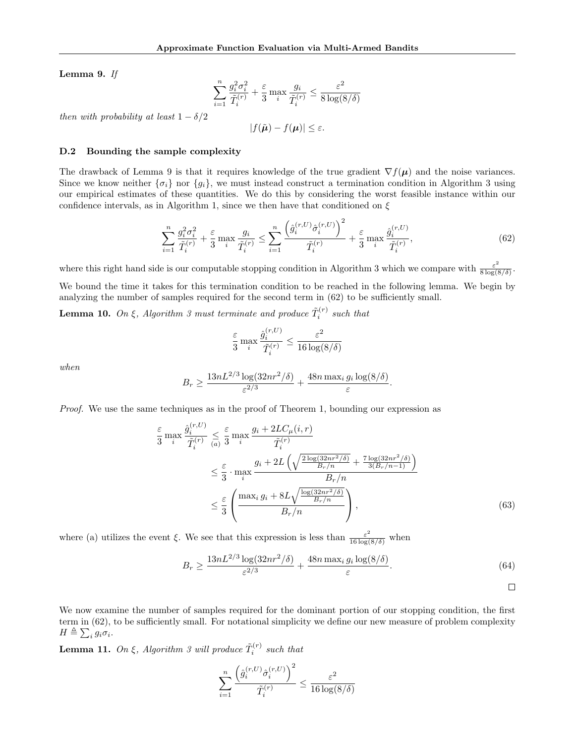Lemma 9. *If*

$$
\sum_{i=1}^n \frac{g_i^2 \sigma_i^2}{\tilde{T}_i^{(r)}} + \frac{\varepsilon}{3} \max_i \frac{g_i}{\tilde{T}_i^{(r)}} \le \frac{\varepsilon^2}{8 \log(8/\delta)}
$$

*then with probability at least*  $1 - \delta/2$ 

$$
|f(\tilde{\boldsymbol{\mu}}) - f(\boldsymbol{\mu})| \leq \varepsilon.
$$

#### D.2 Bounding the sample complexity

The drawback of Lemma 9 is that it requires knowledge of the true gradient  $\nabla f(\mu)$  and the noise variances. Since we know neither  $\{\sigma_i\}$  nor  $\{g_i\}$ , we must instead construct a termination condition in Algorithm 3 using our empirical estimates of these quantities. We do this by considering the worst feasible instance within our confidence intervals, as in Algorithm 1, since we then have that conditioned on  $\xi$ 

$$
\sum_{i=1}^{n} \frac{g_i^2 \sigma_i^2}{\tilde{T}_i^{(r)}} + \frac{\varepsilon}{3} \max_i \frac{g_i}{\tilde{T}_i^{(r)}} \le \sum_{i=1}^{n} \frac{\left(\hat{g}_i^{(r,U)} \hat{\sigma}_i^{(r,U)}\right)^2}{\tilde{T}_i^{(r)}} + \frac{\varepsilon}{3} \max_i \frac{\hat{g}_i^{(r,U)}}{\tilde{T}_i^{(r)}},\tag{62}
$$

 $\Omega$ 

where this right hand side is our computable stopping condition in Algorithm 3 which we compare with  $\frac{\varepsilon^2}{8 \log(8/\delta)}$ .

We bound the time it takes for this termination condition to be reached in the following lemma. We begin by analyzing the number of samples required for the second term in  $(62)$  to be sufficiently small.

Lemma 10. On  $\xi$ , Algorithm 3 must terminate and produce  $\tilde{T}_i^{(r)}$  such that

$$
\frac{\varepsilon}{3} \max_{i} \frac{\hat{g}_i^{(r,U)}}{\tilde{T}_i^{(r)}} \leq \frac{\varepsilon^2}{16 \log(8/\delta)}
$$

*when*

$$
B_r \ge \frac{13nL^{2/3}\log(32nr^2/\delta)}{\varepsilon^{2/3}} + \frac{48n\max_i g_i\log(8/\delta)}{\varepsilon}.
$$

*Proof.* We use the same techniques as in the proof of Theorem 1, bounding our expression as

$$
\frac{\varepsilon}{3} \max_{i} \frac{\hat{g}_{i}^{(r,U)}}{\tilde{T}_{i}^{(r)}} \leq \frac{\varepsilon}{3} \max_{i} \frac{g_{i} + 2LC_{\mu}(i,r)}{\tilde{T}_{i}^{(r)}}
$$
\n
$$
\leq \frac{\varepsilon}{3} \cdot \max_{i} \frac{g_{i} + 2L\left(\sqrt{\frac{2\log(32nr^{2}/\delta)}{B_{r}/n} + \frac{7\log(32nr^{2}/\delta)}{3(B_{r}/n-1)}}\right)}{B_{r}/n}
$$
\n
$$
\leq \frac{\varepsilon}{3} \left(\frac{\max_{i} g_{i} + 8L\sqrt{\frac{\log(32nr^{2}/\delta)}{B_{r}/n}}}{B_{r}/n}\right), \tag{63}
$$

where (a) utilizes the event  $\xi$ . We see that this expression is less than  $\frac{\varepsilon^2}{16 \log(8/\delta)}$  when

$$
B_r \ge \frac{13nL^{2/3}\log(32nr^2/\delta)}{\varepsilon^{2/3}} + \frac{48n\max_i g_i \log(8/\delta)}{\varepsilon}.
$$
\n(64)

 $\Box$ 

We now examine the number of samples required for the dominant portion of our stopping condition, the first term in (62), to be sufficiently small. For notational simplicity we define our new measure of problem complexity  $H \triangleq \sum_{i} g_i \sigma_i.$ 

**Lemma 11.** On  $\xi$ , Algorithm 3 will produce  $\tilde{T}_i^{(r)}$  such that

$$
\sum_{i=1}^n \frac{\left(\hat{g}_i^{(r,U)}\hat{\sigma}_i^{(r,U)}\right)^2}{\tilde{T}_i^{(r)}} \le \frac{\varepsilon^2}{16\log(8/\delta)}
$$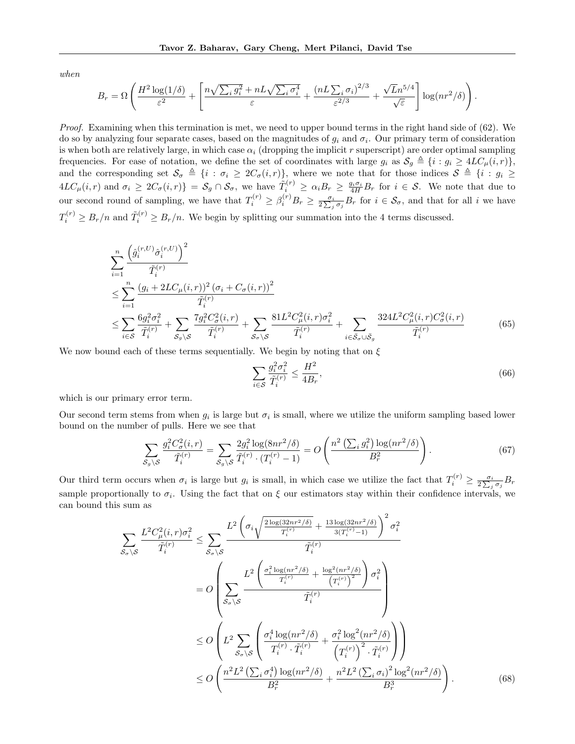*when*

$$
B_r = \Omega \left( \frac{H^2 \log(1/\delta)}{\varepsilon^2} + \left[ \frac{n \sqrt{\sum_i g_i^2} + nL \sqrt{\sum_i \sigma_i^4}}{\varepsilon} + \frac{(n \ln \sum_i \sigma_i)^{2/3}}{\varepsilon^{2/3}} + \frac{\sqrt{L} n^{5/4}}{\sqrt{\varepsilon}} \right] \log(n r^2/\delta) \right).
$$

*Proof.* Examining when this termination is met, we need to upper bound terms in the right hand side of (62). We do so by analyzing four separate cases, based on the magnitudes of  $g_i$  and  $\sigma_i$ . Our primary term of consideration is when both are relatively large, in which case  $\alpha_i$  (dropping the implicit  $r$  superscript) are order optimal sampling frequencies. For ease of notation, we define the set of coordinates with large  $g_i$  as  $S_g \triangleq \{i : g_i \geq 4LC_\mu(i,r)\},$ and the corresponding set  $\mathcal{S}_{\sigma} \triangleq \{i : \sigma_i \geq 2C_{\sigma}(i,r)\}\)$ , where we note that for those indices  $\mathcal{S} \triangleq \{i : g_i \geq 2C_{\sigma}(i,r)\}\$  $4LC_{\mu}(i,r)$  and  $\sigma_i \geq 2C_{\sigma}(i,r) = S_g \cap S_{\sigma}$ , we have  $\tilde{T}_i^{(r)} \geq \alpha_i B_r \geq \frac{g_i \sigma_i}{4H} B_r$  for  $i \in S$ . We note that due to our second round of sampling, we have that  $T_i^{(r)} \geq \beta_i^{(r)} B_r \geq \frac{\sigma_i}{2 \sum_j \sigma_j} B_r$  for  $i \in \mathcal{S}_{\sigma}$ , and that for all *i* we have  $T_i^{(r)} \geq B_r/n$  and  $\tilde{T}_i^{(r)} \geq B_r/n$ . We begin by splitting our summation into the 4 terms discussed.

$$
\sum_{i=1}^{n} \frac{\left(\hat{g}_{i}^{(r,U)}\hat{\sigma}_{i}^{(r,U)}\right)^{2}}{\tilde{T}_{i}^{(r)}}\n\leq \sum_{i=1}^{n} \frac{\left(g_{i} + 2LC_{\mu}(i,r)\right)^{2} (\sigma_{i} + C_{\sigma}(i,r))^{2}}{\tilde{T}_{i}^{(r)}}\n\leq \sum_{i \in S} \frac{6g_{i}^{2} \sigma_{i}^{2}}{\tilde{T}_{i}^{(r)}} + \sum_{S_{g} \backslash S} \frac{7g_{i}^{2} C_{\sigma}^{2}(i,r)}{\tilde{T}_{i}^{(r)}} + \sum_{S_{\sigma} \backslash S} \frac{81L^{2} C_{\mu}^{2}(i,r)\sigma_{i}^{2}}{\tilde{T}_{i}^{(r)}} + \sum_{i \in S_{\sigma} \cup S_{g}} \frac{324L^{2} C_{\mu}^{2}(i,r) C_{\sigma}^{2}(i,r)}{\tilde{T}_{i}^{(r)}}\n\tag{65}
$$

We now bound each of these terms sequentially. We begin by noting that on  $\xi$ 

$$
\sum_{i \in \mathcal{S}} \frac{g_i^2 \sigma_i^2}{\tilde{T}_i^{(r)}} \le \frac{H^2}{4B_r},\tag{66}
$$

which is our primary error term.

Our second term stems from when  $g_i$  is large but  $\sigma_i$  is small, where we utilize the uniform sampling based lower bound on the number of pulls. Here we see that

$$
\sum_{S_g \backslash S} \frac{g_i^2 C_{\sigma}^2(i, r)}{\tilde{T}_i^{(r)}} = \sum_{S_g \backslash S} \frac{2g_i^2 \log(8nr^2/\delta)}{\tilde{T}_i^{(r)} \cdot (T_i^{(r)} - 1)} = O\left(\frac{n^2 \left(\sum_i g_i^2\right) \log(nr^2/\delta)}{B_r^2}\right).
$$
\n(67)

Our third term occurs when  $\sigma_i$  is large but  $g_i$  is small, in which case we utilize the fact that  $T_i^{(r)} \geq \frac{\sigma_i}{2\sum_j \sigma_j} B_r$ sample proportionally to  $\sigma_i$ . Using the fact that on  $\xi$  our estimators stay within their confidence intervals, we can bound this sum as

$$
\sum_{\mathcal{S}_{\sigma}\backslash\mathcal{S}} \frac{L^2 C_{\mu}^2(i,r)\sigma_i^2}{\tilde{T}_i^{(r)}} \leq \sum_{\mathcal{S}_{\sigma}\backslash\mathcal{S}} \frac{L^2 \left(\sigma_i \sqrt{\frac{2\log(32nr^2/\delta)}{T_i^{(r)}}} + \frac{13\log(32nr^2/\delta)}{3(T_i^{(r)}-1)}\right)^2 \sigma_i^2}{\tilde{T}_i^{(r)}}
$$
\n
$$
= O\left(\sum_{\mathcal{S}_{\sigma}\backslash\mathcal{S}} \frac{L^2 \left(\frac{\sigma_i^2\log(nr^2/\delta)}{T_i^{(r)}} + \frac{\log^2(nr^2/\delta)}{(T_i^{(r)})^2}\right) \sigma_i^2}{\tilde{T}_i^{(r)}}\right)
$$
\n
$$
\leq O\left(L^2 \sum_{\mathcal{S}_{\sigma}\backslash\mathcal{S}} \left(\frac{\sigma_i^4\log(nr^2/\delta)}{T_i^{(r)} \cdot \tilde{T}_i^{(r)}} + \frac{\sigma_i^2\log^2(nr^2/\delta)}{(T_i^{(r)})^2 \cdot \tilde{T}_i^{(r)}}\right)\right)
$$
\n
$$
\leq O\left(\frac{n^2 L^2 \left(\sum_i \sigma_i^4\right) \log(nr^2/\delta)}{B_r^2} + \frac{n^2 L^2 \left(\sum_i \sigma_i\right)^2 \log^2(nr^2/\delta}{B_r^3}\right).
$$
\n(68)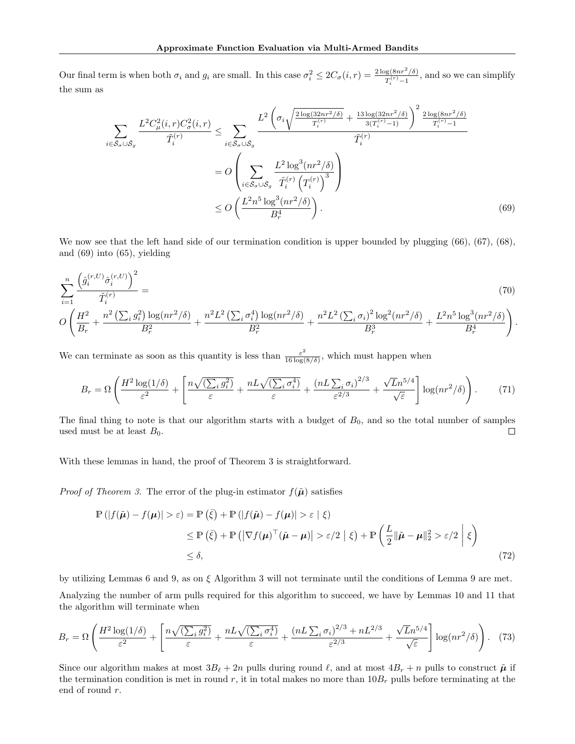Our final term is when both  $\sigma_i$  and  $g_i$  are small. In this case  $\sigma_i^2 \leq 2C_{\sigma}(i,r) = \frac{2 \log(8nr^2/\delta)}{T_i^{(r)}-1}$ , and so we can simplify the sum as

$$
\sum_{i \in \bar{S}_{\sigma} \cup \bar{S}_{g}} \frac{L^{2} C_{\mu}^{2}(i, r) C_{\sigma}^{2}(i, r)}{\tilde{T}_{i}^{(r)}} \leq \sum_{i \in \bar{S}_{\sigma} \cup \bar{S}_{g}} \frac{L^{2} \left( \sigma_{i} \sqrt{\frac{2 \log(32nr^{2}/\delta)}{T_{i}^{(r)}} + \frac{13 \log(32nr^{2}/\delta)}{3(T_{i}^{(r)} - 1)}} \right)^{2} \frac{2 \log(8nr^{2}/\delta)}{T_{i}^{(r)} - 1}}{\tilde{T}_{i}^{(r)}}
$$
\n
$$
= O \left( \sum_{i \in \bar{S}_{\sigma} \cup \bar{S}_{g}} \frac{L^{2} \log^{3}(nr^{2}/\delta)}{\tilde{T}_{i}^{(r)} \left( T_{i}^{(r)} \right)^{3}} \right)
$$
\n
$$
\leq O \left( \frac{L^{2} n^{5} \log^{3}(nr^{2}/\delta)}{B_{r}^{4}} \right). \tag{69}
$$

We now see that the left hand side of our termination condition is upper bounded by plugging  $(66)$ ,  $(67)$ ,  $(68)$ , and (69) into (65), yielding

$$
\sum_{i=1}^{n} \frac{\left(\hat{g}_{i}^{(r,U)}\hat{\sigma}_{i}^{(r,U)}\right)^{2}}{\tilde{T}_{i}^{(r)}} = \frac{\tilde{T}_{i}^{(r)}(T,U)}{B_{r}^{2}} = \frac{\left(\hat{g}_{i}^{(r,U)}\hat{\sigma}_{i}^{(r,U)}\right)^{2}}{B_{r}^{2}} + \frac{n^{2}L^{2}\left(\sum_{i}\sigma_{i}^{4}\right)\log(nr^{2}/\delta)}{B_{r}^{2}} + \frac{n^{2}L^{2}\left(\sum_{i}\sigma_{i}\right)^{2}\log^{2}(nr^{2}/\delta)}{B_{r}^{3}} + \frac{L^{2}n^{5}\log^{3}(nr^{2}/\delta)}{B_{r}^{4}}\right). \tag{70}
$$

We can terminate as soon as this quantity is less than  $\frac{\varepsilon^2}{16 \log(8/\delta)}$ , which must happen when

$$
B_r = \Omega \left( \frac{H^2 \log(1/\delta)}{\varepsilon^2} + \left[ \frac{n \sqrt{(\sum_i g_i^2)}}{\varepsilon} + \frac{n L \sqrt{(\sum_i \sigma_i^4)}}{\varepsilon} + \frac{(n L \sum_i \sigma_i)^{2/3}}{\varepsilon^{2/3}} + \frac{\sqrt{L} n^{5/4}}{\sqrt{\varepsilon}} \right] \log(n r^2/\delta) \right). \tag{71}
$$

The final thing to note is that our algorithm starts with a budget of  $B_0$ , and so the total number of samples used must be at least  $B_0$ .  $\Box$ 

With these lemmas in hand, the proof of Theorem 3 is straightforward.

*Proof of Theorem 3.* The error of the plug-in estimator  $f(\tilde{\boldsymbol{\mu}})$  satisfies

$$
\mathbb{P}(|f(\tilde{\boldsymbol{\mu}}) - f(\boldsymbol{\mu})| > \varepsilon) = \mathbb{P}(\tilde{\xi}) + \mathbb{P}(|f(\tilde{\boldsymbol{\mu}}) - f(\boldsymbol{\mu})| > \varepsilon | \xi)
$$
  
\n
$$
\leq \mathbb{P}(\tilde{\xi}) + \mathbb{P}(|\nabla f(\boldsymbol{\mu})^{\top}(\tilde{\boldsymbol{\mu}} - \boldsymbol{\mu})| > \varepsilon/2 | \xi) + \mathbb{P}\left(\frac{L}{2} \|\tilde{\boldsymbol{\mu}} - \boldsymbol{\mu}\|_{2}^{2} > \varepsilon/2 | \xi\right)
$$
  
\n
$$
\leq \delta,
$$
\n(72)

by utilizing Lemmas 6 and 9, as on  $\xi$  Algorithm 3 will not terminate until the conditions of Lemma 9 are met. Analyzing the number of arm pulls required for this algorithm to succeed, we have by Lemmas 10 and 11 that the algorithm will terminate when

$$
B_r = \Omega \left( \frac{H^2 \log(1/\delta)}{\varepsilon^2} + \left[ \frac{n \sqrt{(\sum_i g_i^2)}}{\varepsilon} + \frac{n L \sqrt{(\sum_i \sigma_i^4)}}{\varepsilon} + \frac{(n L \sum_i \sigma_i)^{2/3} + n L^{2/3}}{\varepsilon^{2/3}} + \frac{\sqrt{L} n^{5/4}}{\sqrt{\varepsilon}} \right] \log(n r^2/\delta) \right). \tag{73}
$$

Since our algorithm makes at most  $3B_\ell + 2n$  pulls during round  $\ell$ , and at most  $4B_r + n$  pulls to construct  $\tilde{\mu}$  if the termination condition is met in round *r*, it in total makes no more than 10*B<sup>r</sup>* pulls before terminating at the end of round *r*.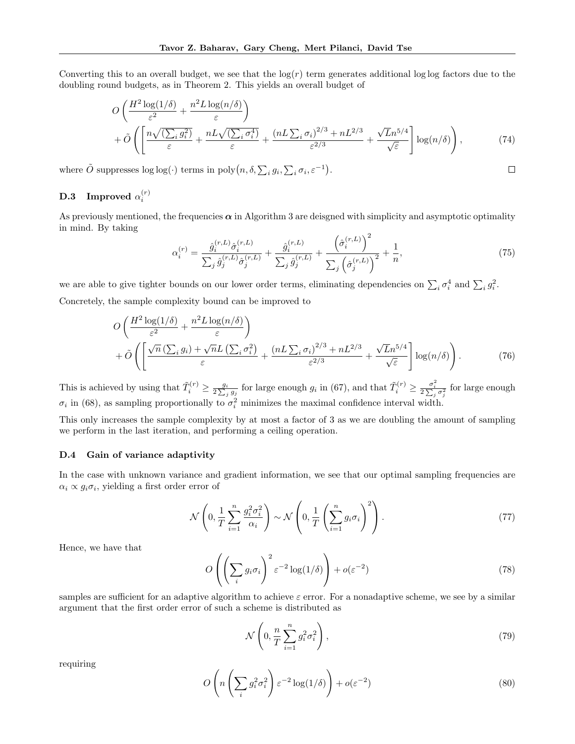Converting this to an overall budget, we see that the  $log(r)$  term generates additional log log factors due to the doubling round budgets, as in Theorem 2. This yields an overall budget of

$$
O\left(\frac{H^2\log(1/\delta)}{\varepsilon^2} + \frac{n^2L\log(n/\delta)}{\varepsilon}\right) + \tilde{O}\left(\left[\frac{n\sqrt{(\sum_i g_i^2)}}{\varepsilon} + \frac{nL\sqrt{(\sum_i \sigma_i^4)}}{\varepsilon} + \frac{(nL\sum_i \sigma_i)^{2/3} + nL^{2/3}}{\varepsilon^{2/3}} + \frac{\sqrt{L}n^{5/4}}{\sqrt{\varepsilon}}\right]\log(n/\delta)\right),\tag{74}
$$

where  $\tilde{O}$  suppresses  $\log \log (\cdot)$  terms in  $\text{poly}(n, \delta, \sum_i g_i, \sum_i \sigma_i, \varepsilon^{-1}).$ 

# **D.3** Improved  $\alpha_i^{(r)}$

As previously mentioned, the frequencies  $\alpha$  in Algorithm 3 are deisgned with simplicity and asymptotic optimality in mind. By taking  $\overline{2}$ 

$$
\alpha_i^{(r)} = \frac{\hat{g}_i^{(r,L)}\hat{\sigma}_i^{(r,L)}}{\sum_j \hat{g}_j^{(r,L)}\hat{\sigma}_j^{(r,L)}} + \frac{\hat{g}_i^{(r,L)}}{\sum_j \hat{g}_j^{(r,L)}} + \frac{\left(\hat{\sigma}_i^{(r,L)}\right)^2}{\sum_j \left(\hat{\sigma}_j^{(r,L)}\right)^2} + \frac{1}{n},\tag{75}
$$

 $\Box$ 

we are able to give tighter bounds on our lower order terms, eliminating dependencies on  $\sum_i \sigma_i^4$  and  $\sum_i g_i^2$ . Concretely, the sample complexity bound can be improved to

$$
O\left(\frac{H^2\log(1/\delta)}{\varepsilon^2} + \frac{n^2L\log(n/\delta)}{\varepsilon}\right) + \tilde{O}\left(\left[\frac{\sqrt{n}\left(\sum_i g_i\right) + \sqrt{n}L\left(\sum_i \sigma_i^2\right)}{\varepsilon} + \frac{\left(nL\sum_i \sigma_i\right)^{2/3} + nL^{2/3}}{\varepsilon^{2/3}} + \frac{\sqrt{L}n^{5/4}}{\sqrt{\varepsilon}}\right]\log(n/\delta)\right). \tag{76}
$$

This is achieved by using that  $\tilde{T}_i^{(r)} \ge \frac{g_i}{2\sum_j g_j}$  for large enough  $g_i$  in (67), and that  $\tilde{T}_i^{(r)} \ge \frac{\sigma_i^2}{2\sum_j \sigma_j^2}$  for large enough  $\sigma_i$  in (68), as sampling proportionally to  $\sigma_i^2$  minimizes the maximal confidence interval width.

This only increases the sample complexity by at most a factor of 3 as we are doubling the amount of sampling we perform in the last iteration, and performing a ceiling operation.

## D.4 Gain of variance adaptivity

In the case with unknown variance and gradient information, we see that our optimal sampling frequencies are  $\alpha_i \propto q_i \sigma_i$ , yielding a first order error of

$$
\mathcal{N}\left(0, \frac{1}{T} \sum_{i=1}^{n} \frac{g_i^2 \sigma_i^2}{\alpha_i}\right) \sim \mathcal{N}\left(0, \frac{1}{T} \left(\sum_{i=1}^{n} g_i \sigma_i\right)^2\right). \tag{77}
$$

Hence, we have that

$$
O\left(\left(\sum_{i} g_i \sigma_i\right)^2 \varepsilon^{-2} \log(1/\delta)\right) + o(\varepsilon^{-2})\tag{78}
$$

samples are sufficient for an adaptive algorithm to achieve  $\varepsilon$  error. For a nonadaptive scheme, we see by a similar argument that the first order error of such a scheme is distributed as

$$
\mathcal{N}\left(0, \frac{n}{T} \sum_{i=1}^{n} g_i^2 \sigma_i^2\right),\tag{79}
$$

requiring

$$
O\left(n\left(\sum_{i} g_i^2 \sigma_i^2\right) \varepsilon^{-2} \log(1/\delta)\right) + o(\varepsilon^{-2})\tag{80}
$$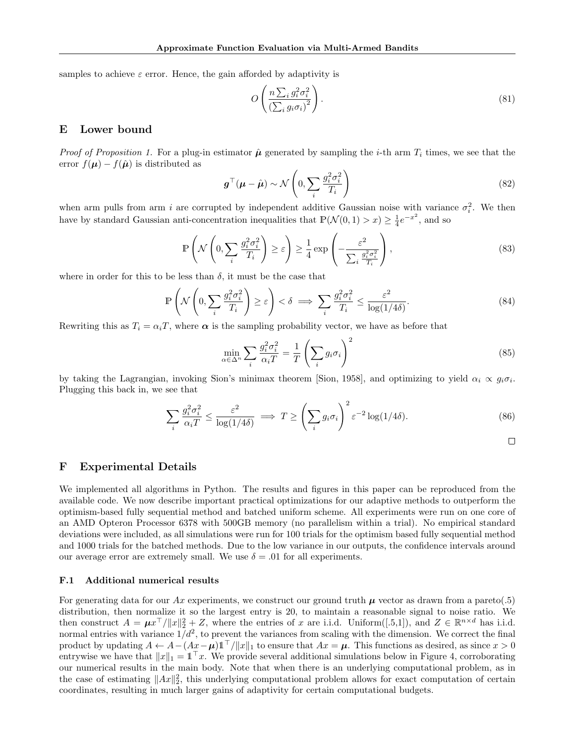samples to achieve  $\varepsilon$  error. Hence, the gain afforded by adaptivity is

$$
O\left(\frac{n\sum_{i}g_{i}^{2}\sigma_{i}^{2}}{\left(\sum_{i}g_{i}\sigma_{i}\right)^{2}}\right).
$$
\n(81)

# E Lower bound

*Proof of Proposition 1.* For a plug-in estimator  $\hat{\mu}$  generated by sampling the *i*-th arm  $T_i$  times, we see that the error  $f(\mu) - f(\hat{\mu})$  is distributed as

$$
\boldsymbol{g}^{\top}(\boldsymbol{\mu} - \hat{\boldsymbol{\mu}}) \sim \mathcal{N}\left(0, \sum_{i} \frac{g_i^2 \sigma_i^2}{T_i}\right)
$$
\n(82)

when arm pulls from arm *i* are corrupted by independent additive Gaussian noise with variance  $\sigma_i^2$ . We then have by standard Gaussian anti-concentration inequalities that  $\mathbb{P}(\mathcal{N}(0,1) > x) \geq \frac{1}{4}e^{-x^2}$ , and so

$$
\mathbb{P}\left(\mathcal{N}\left(0,\sum_{i}\frac{g_i^2\sigma_i^2}{T_i}\right)\geq\varepsilon\right)\geq\frac{1}{4}\exp\left(-\frac{\varepsilon^2}{\sum_{i}\frac{g_i^2\sigma_i^2}{T_i}}\right),\tag{83}
$$

where in order for this to be less than  $\delta$ , it must be the case that

$$
\mathbb{P}\left(\mathcal{N}\left(0,\sum_{i}\frac{g_i^2\sigma_i^2}{T_i}\right)\geq \varepsilon\right)<\delta\implies\sum_{i}\frac{g_i^2\sigma_i^2}{T_i}\leq \frac{\varepsilon^2}{\log(1/4\delta)}.\tag{84}
$$

Rewriting this as  $T_i = \alpha_i T$ , where  $\alpha$  is the sampling probability vector, we have as before that

$$
\min_{\alpha \in \Delta^n} \sum_{i} \frac{g_i^2 \sigma_i^2}{\alpha_i T} = \frac{1}{T} \left( \sum_{i} g_i \sigma_i \right)^2 \tag{85}
$$

by taking the Lagrangian, invoking Sion's minimax theorem [Sion, 1958], and optimizing to yield  $\alpha_i \propto g_i \sigma_i$ . Plugging this back in, we see that

$$
\sum_{i} \frac{g_i^2 \sigma_i^2}{\alpha_i T} \le \frac{\varepsilon^2}{\log(1/4\delta)} \implies T \ge \left(\sum_{i} g_i \sigma_i\right)^2 \varepsilon^{-2} \log(1/4\delta). \tag{86}
$$

## F Experimental Details

We implemented all algorithms in Python. The results and figures in this paper can be reproduced from the available code. We now describe important practical optimizations for our adaptive methods to outperform the optimism-based fully sequential method and batched uniform scheme. All experiments were run on one core of an AMD Opteron Processor 6378 with 500GB memory (no parallelism within a trial). No empirical standard deviations were included, as all simulations were run for 100 trials for the optimism based fully sequential method and 1000 trials for the batched methods. Due to the low variance in our outputs, the confidence intervals around our average error are extremely small. We use  $\delta = .01$  for all experiments.

### F.1 Additional numerical results

For generating data for our  $Ax$  experiments, we construct our ground truth  $\mu$  vector as drawn from a pareto(.5) distribution, then normalize it so the largest entry is 20, to maintain a reasonable signal to noise ratio. We then construct  $A = \mu x^\top / ||x||_2^2 + Z$ , where the entries of *x* are i.i.d. Uniform([.5,1]), and  $Z \in \mathbb{R}^{n \times d}$  has i.i.d. normal entries with variance  $1/d^2$ , to prevent the variances from scaling with the dimension. We correct the final product by updating  $A \leftarrow A - (Ax - \mu) \mathbb{1}^\top / \|x\|_1$  to ensure that  $Ax = \mu$ . This functions as desired, as since  $x > 0$ entrywise we have that  $||x||_1 = \mathbb{1}^T x$ . We provide several additional simulations below in Figure 4, corroborating our numerical results in the main body. Note that when there is an underlying computational problem, as in the case of estimating  $||Ax||_2^2$ , this underlying computational problem allows for exact computation of certain coordinates, resulting in much larger gains of adaptivity for certain computational budgets.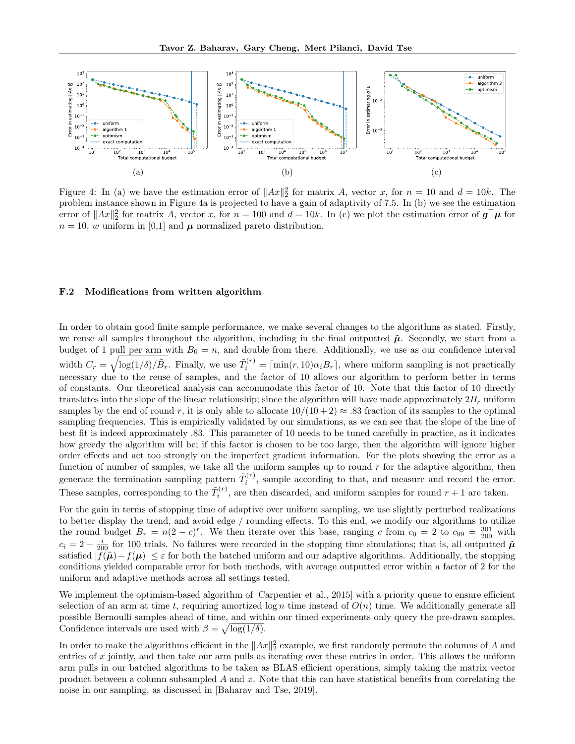

Figure 4: In (a) we have the estimation error of  $||Ax||_2^2$  for matrix *A*, vector *x*, for  $n = 10$  and  $d = 10k$ . The problem instance shown in Figure 4a is projected to have a gain of adaptivity of 7*.*5. In (b) we see the estimation error of  $||Ax||_2^2$  for matrix *A*, vector *x*, for  $n = 100$  and  $d = 10k$ . In (c) we plot the estimation error of  $g^{\top}\mu$  for  $n = 10$ , *w* uniform in [0,1] and  $\mu$  normalized pareto distribution.

#### F.2 Modifications from written algorithm

In order to obtain good finite sample performance, we make several changes to the algorithms as stated. Firstly, we reuse all samples throughout the algorithm, including in the final outputted  $\tilde{\mu}$ . Secondly, we start from a budget of 1 pull per arm with  $B_0 = n$ , and double from there. Additionally, we use as our confidence interval width  $C_r = \sqrt{\log(1/\delta)/\tilde{B}_r}$ . Finally, we use  $\tilde{T}_i^{(r)} = \lceil \min(r, 10) \alpha_i B_r \rceil$ , where uniform sampling is not practically necessary due to the reuse of samples, and the factor of 10 allows our algorithm to perform better in terms of constants. Our theoretical analysis can accommodate this factor of 10. Note that this factor of 10 directly translates into the slope of the linear relationship; since the algorithm will have made approximately 2*B<sup>r</sup>* uniform samples by the end of round r, it is only able to allocate  $10/(10+2) \approx .83$  fraction of its samples to the optimal sampling frequencies. This is empirically validated by our simulations, as we can see that the slope of the line of best fit is indeed approximately .83. This parameter of 10 needs to be tuned carefully in practice, as it indicates how greedy the algorithm will be; if this factor is chosen to be too large, then the algorithm will ignore higher order effects and act too strongly on the imperfect gradient information. For the plots showing the error as a function of number of samples, we take all the uniform samples up to round *r* for the adaptive algorithm, then generate the termination sampling pattern  $\tilde{T}^{(r)}_i$ , sample according to that, and measure and record the error. These samples, corresponding to the  $\tilde{T}_i^{(r)}$ , are then discarded, and uniform samples for round  $r + 1$  are taken.

For the gain in terms of stopping time of adaptive over uniform sampling, we use slightly perturbed realizations to better display the trend, and avoid edge / rounding effects. To this end, we modify our algorithms to utilize the round budget  $B_r = n(2 - c)^r$ . We then iterate over this base, ranging *c* from  $c_0 = 2$  to  $c_{99} = \frac{301}{200}$  with  $c_i = 2 - \frac{i}{200}$  for 100 trials. No failures were recorded in the stopping time simulations; that is, all outputted  $\tilde{\mu}$ satisfied  $|f(\tilde{\mu}) - f(\mu)| \leq \varepsilon$  for both the batched uniform and our adaptive algorithms. Additionally, the stopping conditions yielded comparable error for both methods, with average outputted error within a factor of 2 for the uniform and adaptive methods across all settings tested.

We implement the optimism-based algorithm of [Carpentier et al., 2015] with a priority queue to ensure efficient selection of an arm at time *t*, requiring amortized  $\log n$  time instead of  $O(n)$  time. We additionally generate all possible Bernoulli samples ahead of time, and within our timed experiments only query the pre-drawn samples. Confidence intervals are used with  $\beta = \sqrt{\log(1/\delta)}$ .

In order to make the algorithms efficient in the  $||Ax||_2^2$  example, we first randomly permute the columns of *A* and entries of *x* jointly, and then take our arm pulls as iterating over these entries in order. This allows the uniform arm pulls in our batched algorithms to be taken as BLAS efficient operations, simply taking the matrix vector product between a column subsampled *A* and *x*. Note that this can have statistical benefits from correlating the noise in our sampling, as discussed in [Baharav and Tse, 2019].